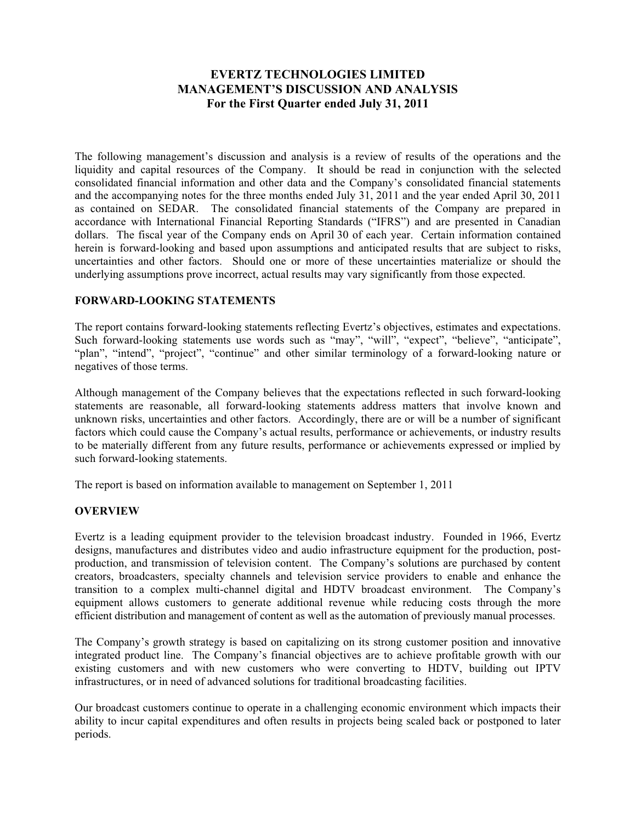## **EVERTZ TECHNOLOGIES LIMITED MANAGEMENT'S DISCUSSION AND ANALYSIS For the First Quarter ended July 31, 2011**

The following management's discussion and analysis is a review of results of the operations and the liquidity and capital resources of the Company. It should be read in conjunction with the selected consolidated financial information and other data and the Company's consolidated financial statements and the accompanying notes for the three months ended July 31, 2011 and the year ended April 30, 2011 as contained on SEDAR. The consolidated financial statements of the Company are prepared in accordance with International Financial Reporting Standards ("IFRS") and are presented in Canadian dollars. The fiscal year of the Company ends on April 30 of each year. Certain information contained herein is forward-looking and based upon assumptions and anticipated results that are subject to risks, uncertainties and other factors. Should one or more of these uncertainties materialize or should the underlying assumptions prove incorrect, actual results may vary significantly from those expected.

## **FORWARD-LOOKING STATEMENTS**

The report contains forward-looking statements reflecting Evertz's objectives, estimates and expectations. Such forward-looking statements use words such as "may", "will", "expect", "believe", "anticipate", "plan", "intend", "project", "continue" and other similar terminology of a forward-looking nature or negatives of those terms.

Although management of the Company believes that the expectations reflected in such forward-looking statements are reasonable, all forward-looking statements address matters that involve known and unknown risks, uncertainties and other factors. Accordingly, there are or will be a number of significant factors which could cause the Company's actual results, performance or achievements, or industry results to be materially different from any future results, performance or achievements expressed or implied by such forward-looking statements.

The report is based on information available to management on September 1, 2011

## **OVERVIEW**

Evertz is a leading equipment provider to the television broadcast industry. Founded in 1966, Evertz designs, manufactures and distributes video and audio infrastructure equipment for the production, postproduction, and transmission of television content. The Company's solutions are purchased by content creators, broadcasters, specialty channels and television service providers to enable and enhance the transition to a complex multi-channel digital and HDTV broadcast environment. The Company's equipment allows customers to generate additional revenue while reducing costs through the more efficient distribution and management of content as well as the automation of previously manual processes.

The Company's growth strategy is based on capitalizing on its strong customer position and innovative integrated product line. The Company's financial objectives are to achieve profitable growth with our existing customers and with new customers who were converting to HDTV, building out IPTV infrastructures, or in need of advanced solutions for traditional broadcasting facilities.

Our broadcast customers continue to operate in a challenging economic environment which impacts their ability to incur capital expenditures and often results in projects being scaled back or postponed to later periods.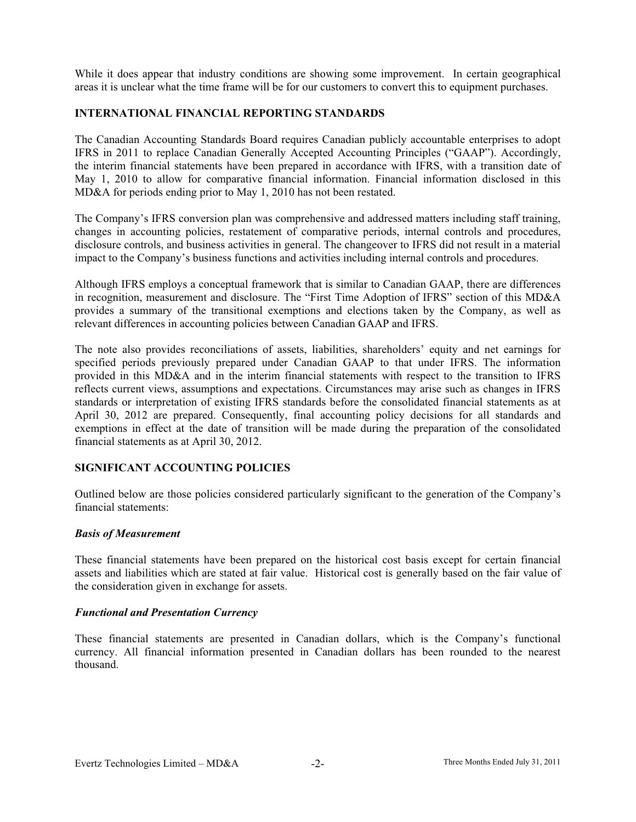While it does appear that industry conditions are showing some improvement. In certain geographical areas it is unclear what the time frame will be for our customers to convert this to equipment purchases.

## **INTERNATIONAL FINANCIAL REPORTING STANDARDS**

The Canadian Accounting Standards Board requires Canadian publicly accountable enterprises to adopt IFRS in 2011 to replace Canadian Generally Accepted Accounting Principles ("GAAP"). Accordingly, the interim financial statements have been prepared in accordance with IFRS, with a transition date of May 1, 2010 to allow for comparative financial information. Financial information disclosed in this MD&A for periods ending prior to May 1, 2010 has not been restated.

The Company's IFRS conversion plan was comprehensive and addressed matters including staff training, changes in accounting policies, restatement of comparative periods, internal controls and procedures, disclosure controls, and business activities in general. The changeover to IFRS did not result in a material impact to the Company's business functions and activities including internal controls and procedures.

Although IFRS employs a conceptual framework that is similar to Canadian GAAP, there are differences in recognition, measurement and disclosure. The "First Time Adoption of IFRS" section of this MD&A provides a summary of the transitional exemptions and elections taken by the Company, as well as relevant differences in accounting policies between Canadian GAAP and IFRS.

The note also provides reconciliations of assets, liabilities, shareholders' equity and net earnings for specified periods previously prepared under Canadian GAAP to that under IFRS. The information provided in this MD&A and in the interim financial statements with respect to the transition to IFRS reflects current views, assumptions and expectations. Circumstances may arise such as changes in IFRS standards or interpretation of existing IFRS standards before the consolidated financial statements as at April 30, 2012 are prepared. Consequently, final accounting policy decisions for all standards and exemptions in effect at the date of transition will be made during the preparation of the consolidated financial statements as at April 30, 2012.

## **SIGNIFICANT ACCOUNTING POLICIES**

Outlined below are those policies considered particularly significant to the generation of the Company's financial statements:

## *Basis of Measurement*

These financial statements have been prepared on the historical cost basis except for certain financial assets and liabilities which are stated at fair value. Historical cost is generally based on the fair value of the consideration given in exchange for assets.

## *Functional and Presentation Currency*

These financial statements are presented in Canadian dollars, which is the Company's functional currency. All financial information presented in Canadian dollars has been rounded to the nearest thousand.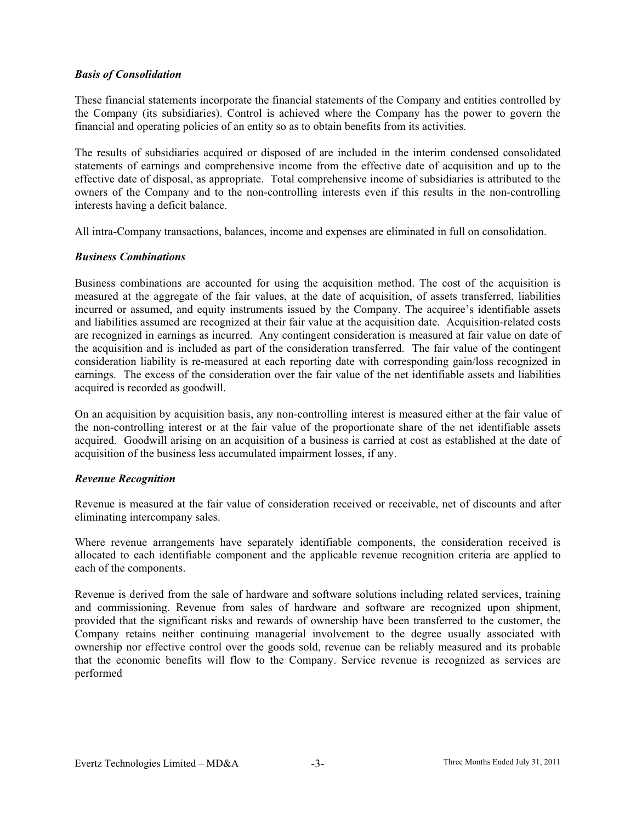## *Basis of Consolidation*

These financial statements incorporate the financial statements of the Company and entities controlled by the Company (its subsidiaries). Control is achieved where the Company has the power to govern the financial and operating policies of an entity so as to obtain benefits from its activities.

The results of subsidiaries acquired or disposed of are included in the interim condensed consolidated statements of earnings and comprehensive income from the effective date of acquisition and up to the effective date of disposal, as appropriate. Total comprehensive income of subsidiaries is attributed to the owners of the Company and to the non-controlling interests even if this results in the non-controlling interests having a deficit balance.

All intra-Company transactions, balances, income and expenses are eliminated in full on consolidation.

## *Business Combinations*

Business combinations are accounted for using the acquisition method. The cost of the acquisition is measured at the aggregate of the fair values, at the date of acquisition, of assets transferred, liabilities incurred or assumed, and equity instruments issued by the Company. The acquiree's identifiable assets and liabilities assumed are recognized at their fair value at the acquisition date. Acquisition-related costs are recognized in earnings as incurred. Any contingent consideration is measured at fair value on date of the acquisition and is included as part of the consideration transferred. The fair value of the contingent consideration liability is re-measured at each reporting date with corresponding gain/loss recognized in earnings. The excess of the consideration over the fair value of the net identifiable assets and liabilities acquired is recorded as goodwill.

On an acquisition by acquisition basis, any non-controlling interest is measured either at the fair value of the non-controlling interest or at the fair value of the proportionate share of the net identifiable assets acquired. Goodwill arising on an acquisition of a business is carried at cost as established at the date of acquisition of the business less accumulated impairment losses, if any.

## *Revenue Recognition*

Revenue is measured at the fair value of consideration received or receivable, net of discounts and after eliminating intercompany sales.

Where revenue arrangements have separately identifiable components, the consideration received is allocated to each identifiable component and the applicable revenue recognition criteria are applied to each of the components.

Revenue is derived from the sale of hardware and software solutions including related services, training and commissioning. Revenue from sales of hardware and software are recognized upon shipment, provided that the significant risks and rewards of ownership have been transferred to the customer, the Company retains neither continuing managerial involvement to the degree usually associated with ownership nor effective control over the goods sold, revenue can be reliably measured and its probable that the economic benefits will flow to the Company. Service revenue is recognized as services are performed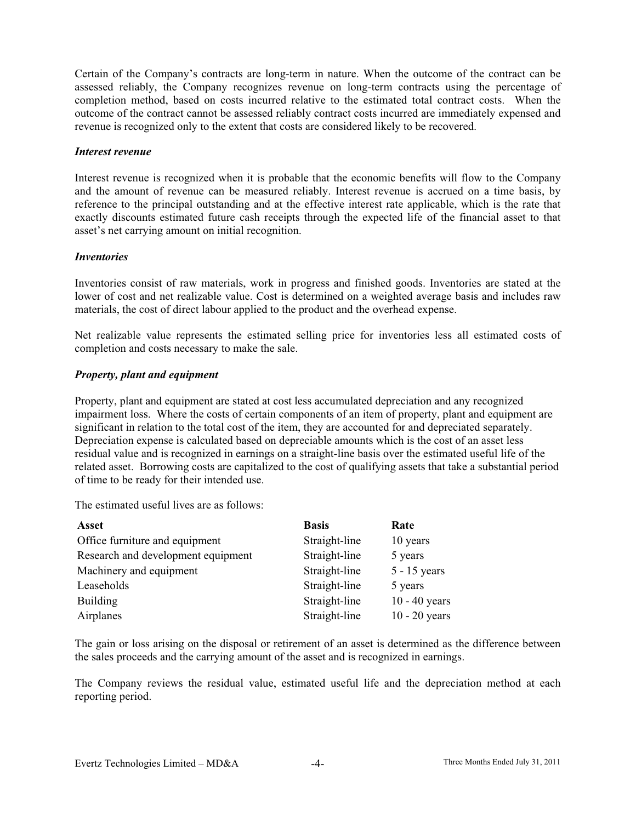Certain of the Company's contracts are long-term in nature. When the outcome of the contract can be assessed reliably, the Company recognizes revenue on long-term contracts using the percentage of completion method, based on costs incurred relative to the estimated total contract costs. When the outcome of the contract cannot be assessed reliably contract costs incurred are immediately expensed and revenue is recognized only to the extent that costs are considered likely to be recovered.

## *Interest revenue*

Interest revenue is recognized when it is probable that the economic benefits will flow to the Company and the amount of revenue can be measured reliably. Interest revenue is accrued on a time basis, by reference to the principal outstanding and at the effective interest rate applicable, which is the rate that exactly discounts estimated future cash receipts through the expected life of the financial asset to that asset's net carrying amount on initial recognition.

## *Inventories*

Inventories consist of raw materials, work in progress and finished goods. Inventories are stated at the lower of cost and net realizable value. Cost is determined on a weighted average basis and includes raw materials, the cost of direct labour applied to the product and the overhead expense.

Net realizable value represents the estimated selling price for inventories less all estimated costs of completion and costs necessary to make the sale.

## *Property, plant and equipment*

Property, plant and equipment are stated at cost less accumulated depreciation and any recognized impairment loss. Where the costs of certain components of an item of property, plant and equipment are significant in relation to the total cost of the item, they are accounted for and depreciated separately. Depreciation expense is calculated based on depreciable amounts which is the cost of an asset less residual value and is recognized in earnings on a straight-line basis over the estimated useful life of the related asset. Borrowing costs are capitalized to the cost of qualifying assets that take a substantial period of time to be ready for their intended use.

The estimated useful lives are as follows:

| Asset                              | <b>Basis</b>  | Rate            |
|------------------------------------|---------------|-----------------|
| Office furniture and equipment     | Straight-line | 10 years        |
| Research and development equipment | Straight-line | 5 years         |
| Machinery and equipment            | Straight-line | $5 - 15$ years  |
| Leaseholds                         | Straight-line | 5 years         |
| <b>Building</b>                    | Straight-line | $10 - 40$ years |
| Airplanes                          | Straight-line | $10 - 20$ years |

The gain or loss arising on the disposal or retirement of an asset is determined as the difference between the sales proceeds and the carrying amount of the asset and is recognized in earnings.

The Company reviews the residual value, estimated useful life and the depreciation method at each reporting period.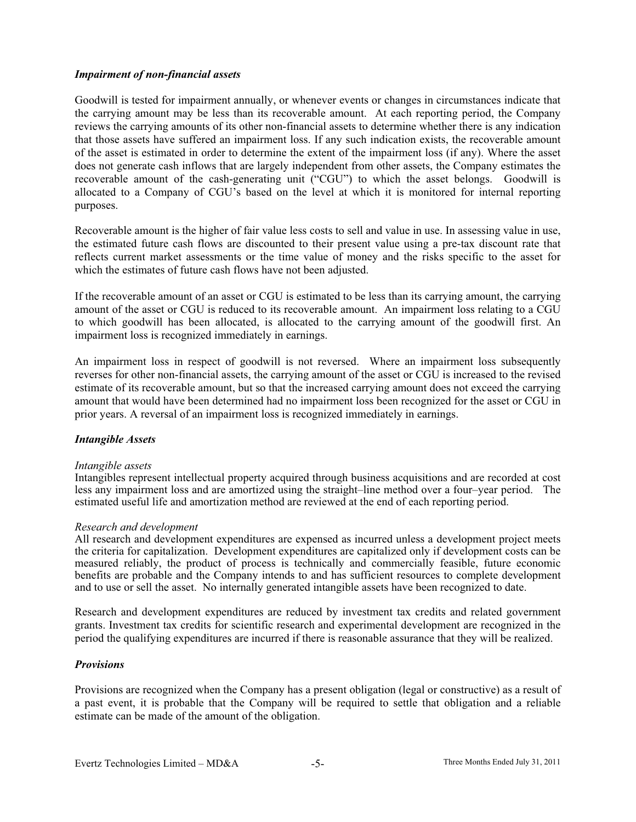## *Impairment of non-financial assets*

Goodwill is tested for impairment annually, or whenever events or changes in circumstances indicate that the carrying amount may be less than its recoverable amount. At each reporting period, the Company reviews the carrying amounts of its other non-financial assets to determine whether there is any indication that those assets have suffered an impairment loss. If any such indication exists, the recoverable amount of the asset is estimated in order to determine the extent of the impairment loss (if any). Where the asset does not generate cash inflows that are largely independent from other assets, the Company estimates the recoverable amount of the cash-generating unit ("CGU") to which the asset belongs. Goodwill is allocated to a Company of CGU's based on the level at which it is monitored for internal reporting purposes.

Recoverable amount is the higher of fair value less costs to sell and value in use. In assessing value in use, the estimated future cash flows are discounted to their present value using a pre-tax discount rate that reflects current market assessments or the time value of money and the risks specific to the asset for which the estimates of future cash flows have not been adjusted.

If the recoverable amount of an asset or CGU is estimated to be less than its carrying amount, the carrying amount of the asset or CGU is reduced to its recoverable amount. An impairment loss relating to a CGU to which goodwill has been allocated, is allocated to the carrying amount of the goodwill first. An impairment loss is recognized immediately in earnings.

An impairment loss in respect of goodwill is not reversed. Where an impairment loss subsequently reverses for other non-financial assets, the carrying amount of the asset or CGU is increased to the revised estimate of its recoverable amount, but so that the increased carrying amount does not exceed the carrying amount that would have been determined had no impairment loss been recognized for the asset or CGU in prior years. A reversal of an impairment loss is recognized immediately in earnings.

## *Intangible Assets*

## *Intangible assets*

Intangibles represent intellectual property acquired through business acquisitions and are recorded at cost less any impairment loss and are amortized using the straight–line method over a four–year period. The estimated useful life and amortization method are reviewed at the end of each reporting period.

## *Research and development*

All research and development expenditures are expensed as incurred unless a development project meets the criteria for capitalization. Development expenditures are capitalized only if development costs can be measured reliably, the product of process is technically and commercially feasible, future economic benefits are probable and the Company intends to and has sufficient resources to complete development and to use or sell the asset. No internally generated intangible assets have been recognized to date.

Research and development expenditures are reduced by investment tax credits and related government grants. Investment tax credits for scientific research and experimental development are recognized in the period the qualifying expenditures are incurred if there is reasonable assurance that they will be realized.

## *Provisions*

Provisions are recognized when the Company has a present obligation (legal or constructive) as a result of a past event, it is probable that the Company will be required to settle that obligation and a reliable estimate can be made of the amount of the obligation.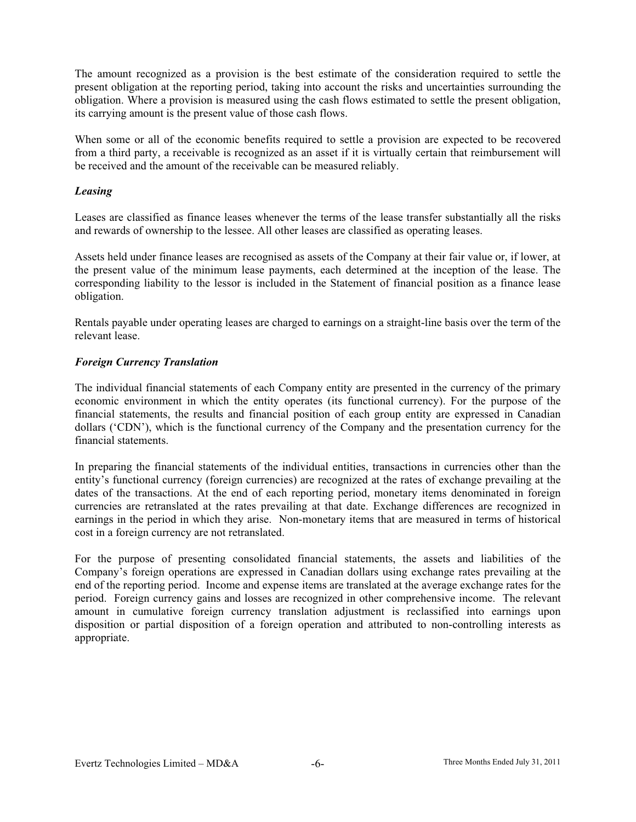The amount recognized as a provision is the best estimate of the consideration required to settle the present obligation at the reporting period, taking into account the risks and uncertainties surrounding the obligation. Where a provision is measured using the cash flows estimated to settle the present obligation, its carrying amount is the present value of those cash flows.

When some or all of the economic benefits required to settle a provision are expected to be recovered from a third party, a receivable is recognized as an asset if it is virtually certain that reimbursement will be received and the amount of the receivable can be measured reliably.

## *Leasing*

Leases are classified as finance leases whenever the terms of the lease transfer substantially all the risks and rewards of ownership to the lessee. All other leases are classified as operating leases.

Assets held under finance leases are recognised as assets of the Company at their fair value or, if lower, at the present value of the minimum lease payments, each determined at the inception of the lease. The corresponding liability to the lessor is included in the Statement of financial position as a finance lease obligation.

Rentals payable under operating leases are charged to earnings on a straight-line basis over the term of the relevant lease.

## *Foreign Currency Translation*

The individual financial statements of each Company entity are presented in the currency of the primary economic environment in which the entity operates (its functional currency). For the purpose of the financial statements, the results and financial position of each group entity are expressed in Canadian dollars ('CDN'), which is the functional currency of the Company and the presentation currency for the financial statements.

In preparing the financial statements of the individual entities, transactions in currencies other than the entity's functional currency (foreign currencies) are recognized at the rates of exchange prevailing at the dates of the transactions. At the end of each reporting period, monetary items denominated in foreign currencies are retranslated at the rates prevailing at that date. Exchange differences are recognized in earnings in the period in which they arise. Non-monetary items that are measured in terms of historical cost in a foreign currency are not retranslated.

For the purpose of presenting consolidated financial statements, the assets and liabilities of the Company's foreign operations are expressed in Canadian dollars using exchange rates prevailing at the end of the reporting period. Income and expense items are translated at the average exchange rates for the period. Foreign currency gains and losses are recognized in other comprehensive income. The relevant amount in cumulative foreign currency translation adjustment is reclassified into earnings upon disposition or partial disposition of a foreign operation and attributed to non-controlling interests as appropriate.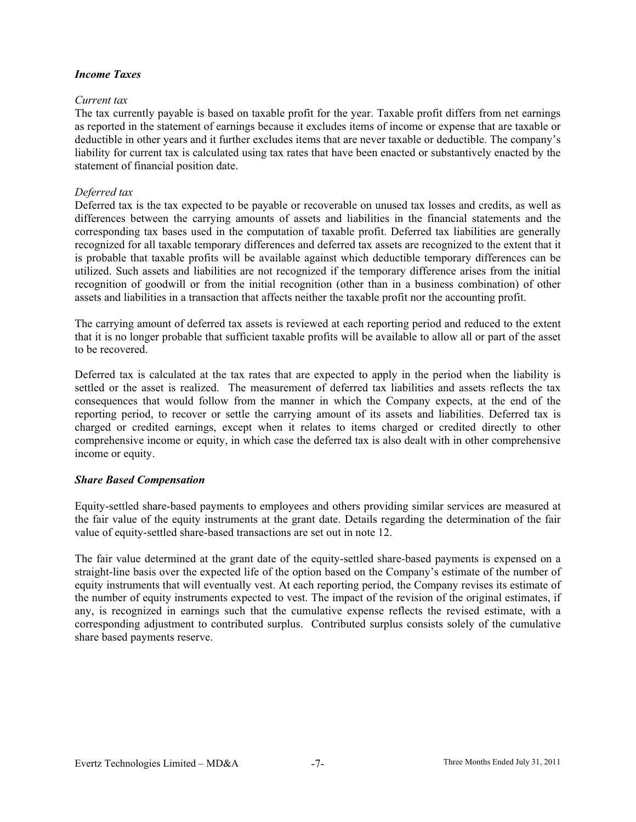## *Income Taxes*

## *Current tax*

The tax currently payable is based on taxable profit for the year. Taxable profit differs from net earnings as reported in the statement of earnings because it excludes items of income or expense that are taxable or deductible in other years and it further excludes items that are never taxable or deductible. The company's liability for current tax is calculated using tax rates that have been enacted or substantively enacted by the statement of financial position date.

## *Deferred tax*

Deferred tax is the tax expected to be payable or recoverable on unused tax losses and credits, as well as differences between the carrying amounts of assets and liabilities in the financial statements and the corresponding tax bases used in the computation of taxable profit. Deferred tax liabilities are generally recognized for all taxable temporary differences and deferred tax assets are recognized to the extent that it is probable that taxable profits will be available against which deductible temporary differences can be utilized. Such assets and liabilities are not recognized if the temporary difference arises from the initial recognition of goodwill or from the initial recognition (other than in a business combination) of other assets and liabilities in a transaction that affects neither the taxable profit nor the accounting profit.

The carrying amount of deferred tax assets is reviewed at each reporting period and reduced to the extent that it is no longer probable that sufficient taxable profits will be available to allow all or part of the asset to be recovered.

Deferred tax is calculated at the tax rates that are expected to apply in the period when the liability is settled or the asset is realized. The measurement of deferred tax liabilities and assets reflects the tax consequences that would follow from the manner in which the Company expects, at the end of the reporting period, to recover or settle the carrying amount of its assets and liabilities. Deferred tax is charged or credited earnings, except when it relates to items charged or credited directly to other comprehensive income or equity, in which case the deferred tax is also dealt with in other comprehensive income or equity.

## *Share Based Compensation*

Equity-settled share-based payments to employees and others providing similar services are measured at the fair value of the equity instruments at the grant date. Details regarding the determination of the fair value of equity-settled share-based transactions are set out in note 12.

The fair value determined at the grant date of the equity-settled share-based payments is expensed on a straight-line basis over the expected life of the option based on the Company's estimate of the number of equity instruments that will eventually vest. At each reporting period, the Company revises its estimate of the number of equity instruments expected to vest. The impact of the revision of the original estimates, if any, is recognized in earnings such that the cumulative expense reflects the revised estimate, with a corresponding adjustment to contributed surplus. Contributed surplus consists solely of the cumulative share based payments reserve.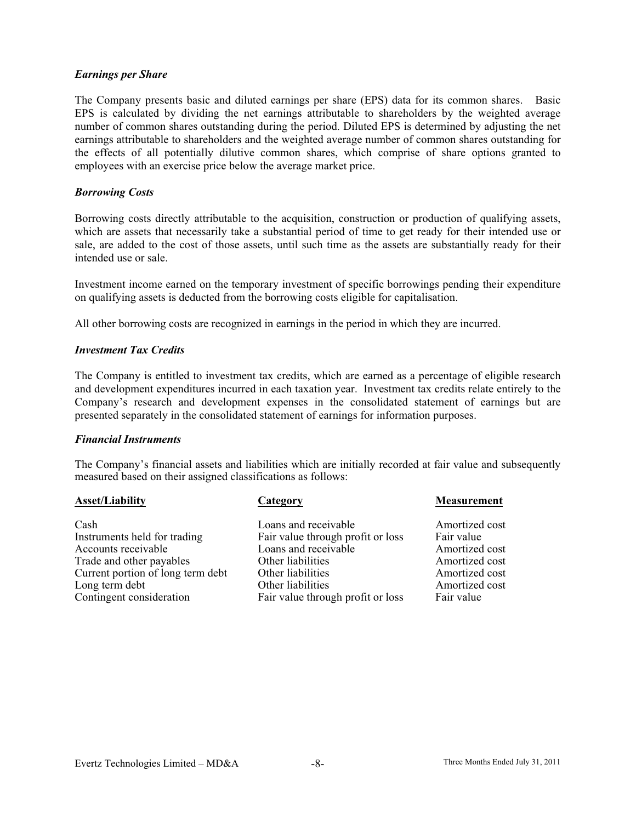## *Earnings per Share*

The Company presents basic and diluted earnings per share (EPS) data for its common shares. Basic EPS is calculated by dividing the net earnings attributable to shareholders by the weighted average number of common shares outstanding during the period. Diluted EPS is determined by adjusting the net earnings attributable to shareholders and the weighted average number of common shares outstanding for the effects of all potentially dilutive common shares, which comprise of share options granted to employees with an exercise price below the average market price.

## *Borrowing Costs*

Borrowing costs directly attributable to the acquisition, construction or production of qualifying assets, which are assets that necessarily take a substantial period of time to get ready for their intended use or sale, are added to the cost of those assets, until such time as the assets are substantially ready for their intended use or sale.

Investment income earned on the temporary investment of specific borrowings pending their expenditure on qualifying assets is deducted from the borrowing costs eligible for capitalisation.

All other borrowing costs are recognized in earnings in the period in which they are incurred.

## *Investment Tax Credits*

The Company is entitled to investment tax credits, which are earned as a percentage of eligible research and development expenditures incurred in each taxation year. Investment tax credits relate entirely to the Company's research and development expenses in the consolidated statement of earnings but are presented separately in the consolidated statement of earnings for information purposes.

## *Financial Instruments*

The Company's financial assets and liabilities which are initially recorded at fair value and subsequently measured based on their assigned classifications as follows:

## **Asset/Liability Category Category Measurement**

- Instruments held for trading Fair value through profit or loss Fair value<br>Accounts receivable Loans and receivable Amortized cost Accounts receivable<br>
Trade and other payables<br>
Other liabilities Trade and other payables **Other liabilities** Amortized cost Current portion of long term debt Other liabilities Amortized cost Long term debt Contingent consideration Fair value through profit or loss Fair value
- Cash Loans and receivable Amortized cost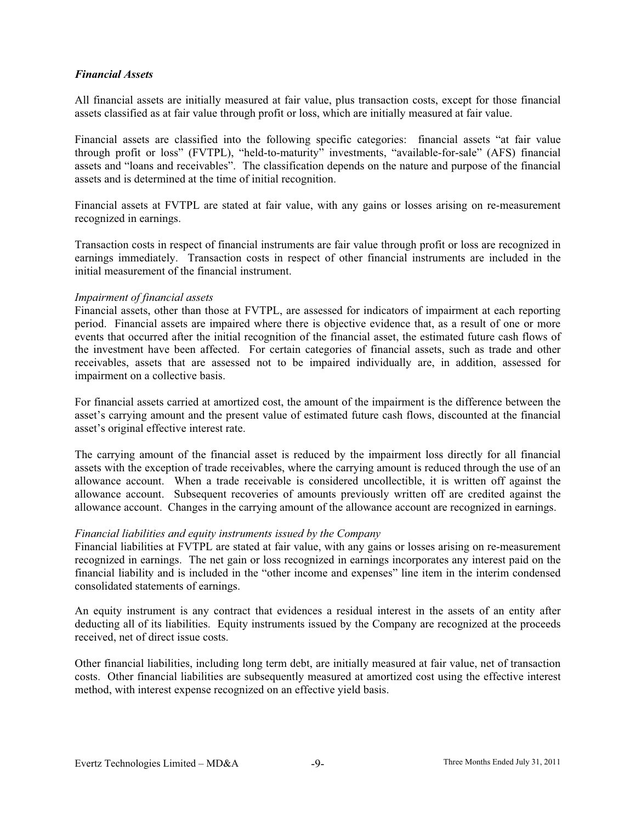## *Financial Assets*

All financial assets are initially measured at fair value, plus transaction costs, except for those financial assets classified as at fair value through profit or loss, which are initially measured at fair value.

Financial assets are classified into the following specific categories: financial assets "at fair value through profit or loss" (FVTPL), "held-to-maturity" investments, "available-for-sale" (AFS) financial assets and "loans and receivables". The classification depends on the nature and purpose of the financial assets and is determined at the time of initial recognition.

Financial assets at FVTPL are stated at fair value, with any gains or losses arising on re-measurement recognized in earnings.

Transaction costs in respect of financial instruments are fair value through profit or loss are recognized in earnings immediately. Transaction costs in respect of other financial instruments are included in the initial measurement of the financial instrument.

## *Impairment of financial assets*

Financial assets, other than those at FVTPL, are assessed for indicators of impairment at each reporting period. Financial assets are impaired where there is objective evidence that, as a result of one or more events that occurred after the initial recognition of the financial asset, the estimated future cash flows of the investment have been affected. For certain categories of financial assets, such as trade and other receivables, assets that are assessed not to be impaired individually are, in addition, assessed for impairment on a collective basis.

For financial assets carried at amortized cost, the amount of the impairment is the difference between the asset's carrying amount and the present value of estimated future cash flows, discounted at the financial asset's original effective interest rate.

The carrying amount of the financial asset is reduced by the impairment loss directly for all financial assets with the exception of trade receivables, where the carrying amount is reduced through the use of an allowance account. When a trade receivable is considered uncollectible, it is written off against the allowance account. Subsequent recoveries of amounts previously written off are credited against the allowance account. Changes in the carrying amount of the allowance account are recognized in earnings.

## *Financial liabilities and equity instruments issued by the Company*

Financial liabilities at FVTPL are stated at fair value, with any gains or losses arising on re-measurement recognized in earnings. The net gain or loss recognized in earnings incorporates any interest paid on the financial liability and is included in the "other income and expenses" line item in the interim condensed consolidated statements of earnings.

An equity instrument is any contract that evidences a residual interest in the assets of an entity after deducting all of its liabilities. Equity instruments issued by the Company are recognized at the proceeds received, net of direct issue costs.

Other financial liabilities, including long term debt, are initially measured at fair value, net of transaction costs. Other financial liabilities are subsequently measured at amortized cost using the effective interest method, with interest expense recognized on an effective yield basis.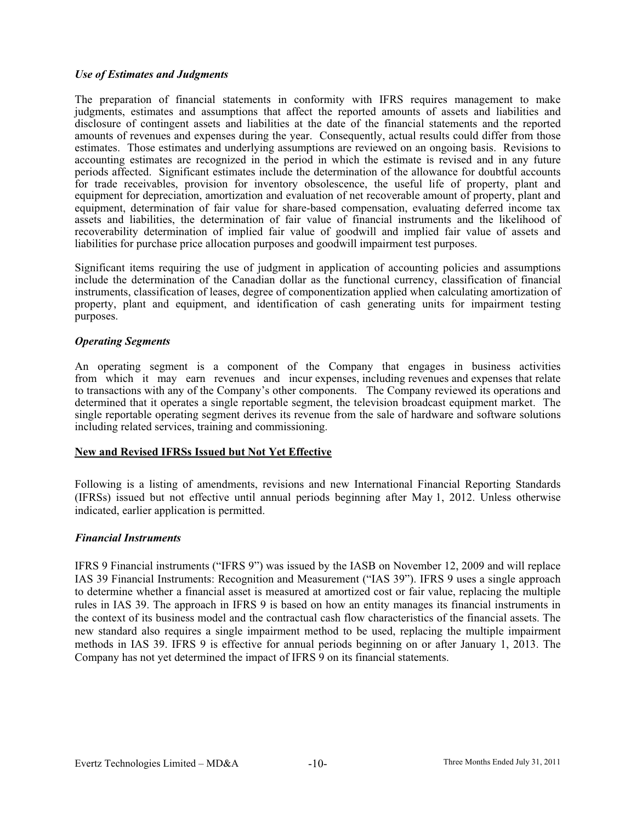## *Use of Estimates and Judgments*

The preparation of financial statements in conformity with IFRS requires management to make judgments, estimates and assumptions that affect the reported amounts of assets and liabilities and disclosure of contingent assets and liabilities at the date of the financial statements and the reported amounts of revenues and expenses during the year. Consequently, actual results could differ from those estimates. Those estimates and underlying assumptions are reviewed on an ongoing basis. Revisions to accounting estimates are recognized in the period in which the estimate is revised and in any future periods affected. Significant estimates include the determination of the allowance for doubtful accounts for trade receivables, provision for inventory obsolescence, the useful life of property, plant and equipment for depreciation, amortization and evaluation of net recoverable amount of property, plant and equipment, determination of fair value for share-based compensation, evaluating deferred income tax assets and liabilities, the determination of fair value of financial instruments and the likelihood of recoverability determination of implied fair value of goodwill and implied fair value of assets and liabilities for purchase price allocation purposes and goodwill impairment test purposes.

Significant items requiring the use of judgment in application of accounting policies and assumptions include the determination of the Canadian dollar as the functional currency, classification of financial instruments, classification of leases, degree of componentization applied when calculating amortization of property, plant and equipment, and identification of cash generating units for impairment testing purposes.

## *Operating Segments*

An operating segment is a component of the Company that engages in business activities from which it may earn revenues and incur expenses, including revenues and expenses that relate to transactions with any of the Company's other components. The Company reviewed its operations and determined that it operates a single reportable segment, the television broadcast equipment market. The single reportable operating segment derives its revenue from the sale of hardware and software solutions including related services, training and commissioning.

## **New and Revised IFRSs Issued but Not Yet Effective**

Following is a listing of amendments, revisions and new International Financial Reporting Standards (IFRSs) issued but not effective until annual periods beginning after May 1, 2012. Unless otherwise indicated, earlier application is permitted.

## *Financial Instruments*

IFRS 9 Financial instruments ("IFRS 9") was issued by the IASB on November 12, 2009 and will replace IAS 39 Financial Instruments: Recognition and Measurement ("IAS 39"). IFRS 9 uses a single approach to determine whether a financial asset is measured at amortized cost or fair value, replacing the multiple rules in IAS 39. The approach in IFRS 9 is based on how an entity manages its financial instruments in the context of its business model and the contractual cash flow characteristics of the financial assets. The new standard also requires a single impairment method to be used, replacing the multiple impairment methods in IAS 39. IFRS 9 is effective for annual periods beginning on or after January 1, 2013. The Company has not yet determined the impact of IFRS 9 on its financial statements.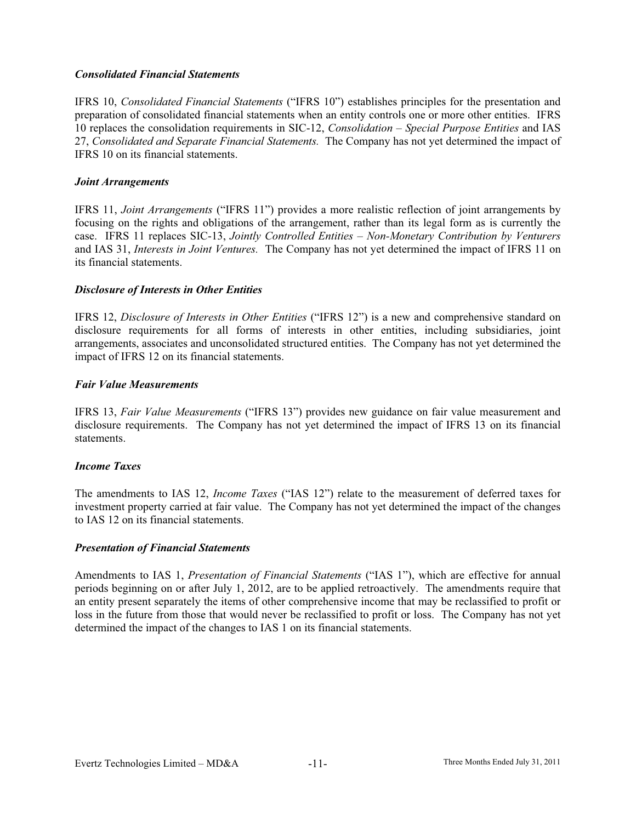## *Consolidated Financial Statements*

IFRS 10, *Consolidated Financial Statements* ("IFRS 10") establishes principles for the presentation and preparation of consolidated financial statements when an entity controls one or more other entities. IFRS 10 replaces the consolidation requirements in SIC-12, *Consolidation – Special Purpose Entities* and IAS 27, *Consolidated and Separate Financial Statements.* The Company has not yet determined the impact of IFRS 10 on its financial statements.

## *Joint Arrangements*

IFRS 11, *Joint Arrangements* ("IFRS 11") provides a more realistic reflection of joint arrangements by focusing on the rights and obligations of the arrangement, rather than its legal form as is currently the case. IFRS 11 replaces SIC-13, *Jointly Controlled Entities – Non-Monetary Contribution by Venturers*  and IAS 31, *Interests in Joint Ventures.* The Company has not yet determined the impact of IFRS 11 on its financial statements.

## *Disclosure of Interests in Other Entities*

IFRS 12, *Disclosure of Interests in Other Entities* ("IFRS 12") is a new and comprehensive standard on disclosure requirements for all forms of interests in other entities, including subsidiaries, joint arrangements, associates and unconsolidated structured entities. The Company has not yet determined the impact of IFRS 12 on its financial statements.

## *Fair Value Measurements*

IFRS 13, *Fair Value Measurements* ("IFRS 13") provides new guidance on fair value measurement and disclosure requirements. The Company has not yet determined the impact of IFRS 13 on its financial statements.

## *Income Taxes*

The amendments to IAS 12, *Income Taxes* ("IAS 12") relate to the measurement of deferred taxes for investment property carried at fair value. The Company has not yet determined the impact of the changes to IAS 12 on its financial statements.

## *Presentation of Financial Statements*

Amendments to IAS 1, *Presentation of Financial Statements* ("IAS 1"), which are effective for annual periods beginning on or after July 1, 2012, are to be applied retroactively. The amendments require that an entity present separately the items of other comprehensive income that may be reclassified to profit or loss in the future from those that would never be reclassified to profit or loss. The Company has not yet determined the impact of the changes to IAS 1 on its financial statements.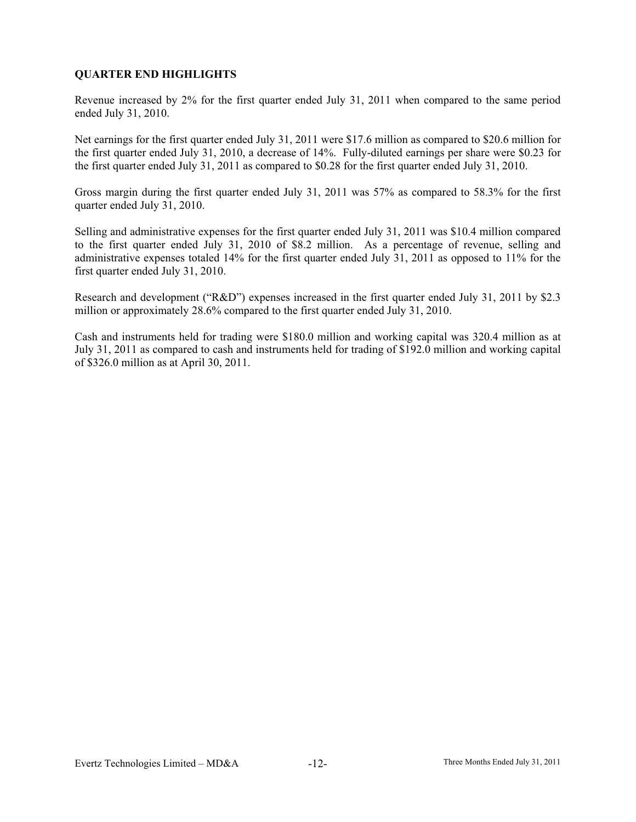## **QUARTER END HIGHLIGHTS**

Revenue increased by 2% for the first quarter ended July 31, 2011 when compared to the same period ended July 31, 2010.

Net earnings for the first quarter ended July 31, 2011 were \$17.6 million as compared to \$20.6 million for the first quarter ended July 31, 2010, a decrease of 14%. Fully-diluted earnings per share were \$0.23 for the first quarter ended July 31, 2011 as compared to \$0.28 for the first quarter ended July 31, 2010.

Gross margin during the first quarter ended July 31, 2011 was 57% as compared to 58.3% for the first quarter ended July 31, 2010.

Selling and administrative expenses for the first quarter ended July 31, 2011 was \$10.4 million compared to the first quarter ended July 31, 2010 of \$8.2 million. As a percentage of revenue, selling and administrative expenses totaled 14% for the first quarter ended July 31, 2011 as opposed to 11% for the first quarter ended July 31, 2010.

Research and development ("R&D") expenses increased in the first quarter ended July 31, 2011 by \$2.3 million or approximately 28.6% compared to the first quarter ended July 31, 2010.

Cash and instruments held for trading were \$180.0 million and working capital was 320.4 million as at July 31, 2011 as compared to cash and instruments held for trading of \$192.0 million and working capital of \$326.0 million as at April 30, 2011.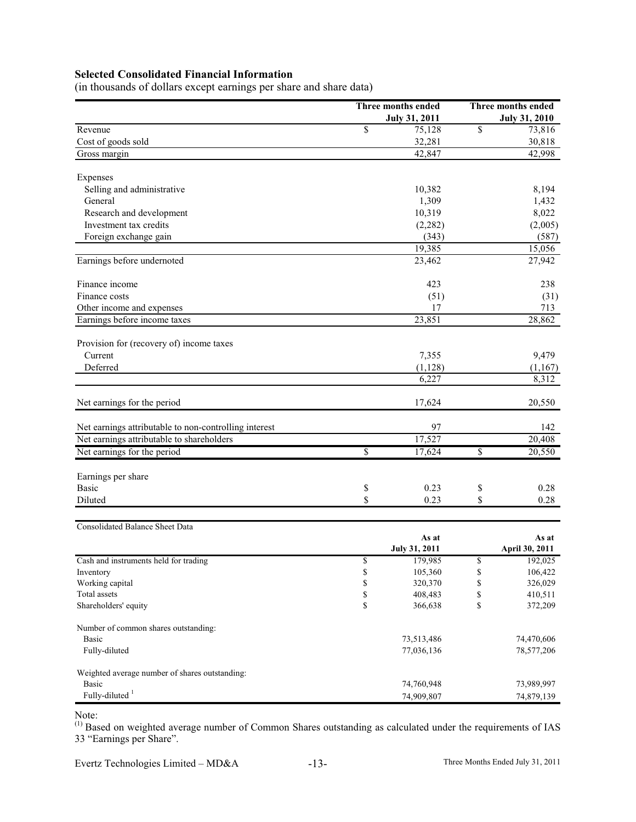## **Selected Consolidated Financial Information**

(in thousands of dollars except earnings per share and share data)

|                                                       | Three months ended     | Three months ended      |
|-------------------------------------------------------|------------------------|-------------------------|
|                                                       | <b>July 31, 2011</b>   | <b>July 31, 2010</b>    |
| Revenue                                               | \$<br>75,128           | \$<br>73,816            |
| Cost of goods sold                                    | 32,281                 | 30,818                  |
| Gross margin                                          | 42,847                 | 42,998                  |
| Expenses                                              |                        |                         |
| Selling and administrative                            | 10,382                 | 8,194                   |
| General                                               | 1,309                  | 1,432                   |
| Research and development                              | 10,319                 | 8,022                   |
| Investment tax credits                                | (2, 282)               | (2,005)                 |
| Foreign exchange gain                                 | (343)                  | (587)                   |
|                                                       | 19,385                 | 15,056                  |
| Earnings before undernoted                            | 23,462                 | 27,942                  |
| Finance income                                        | 423                    | 238                     |
| Finance costs                                         | (51)                   | (31)                    |
| Other income and expenses                             | 17                     | 713                     |
| Earnings before income taxes                          | 23,851                 | 28,862                  |
| Provision for (recovery of) income taxes              |                        |                         |
| Current                                               | 7,355                  | 9,479                   |
| Deferred                                              | (1, 128)               | (1,167)                 |
|                                                       | 6,227                  | 8,312                   |
| Net earnings for the period                           | 17,624                 | 20,550                  |
| Net earnings attributable to non-controlling interest | 97                     | 142                     |
| Net earnings attributable to shareholders             | 17,527                 | 20,408                  |
| Net earnings for the period                           | \$<br>17,624           | \$<br>20,550            |
| Earnings per share                                    |                        |                         |
| <b>Basic</b>                                          | \$<br>0.23             | \$<br>0.28              |
| Diluted                                               | \$<br>0.23             | \$<br>0.28              |
| <b>Consolidated Balance Sheet Data</b>                |                        |                         |
|                                                       | As at<br>July 31, 2011 | As at<br>April 30, 2011 |
| Cash and instruments held for trading                 | \$<br>179,985          | \$<br>192,025           |
| Inventory                                             | \$<br>105,360          | \$<br>106,422           |
| Working capital                                       | \$<br>320,370          | \$<br>326,029           |
| Total assets                                          | \$<br>408,483          | \$<br>410,511           |
| Shareholders' equity                                  | \$<br>366,638          | \$<br>372,209           |
| Number of common shares outstanding:                  |                        |                         |
| Basic                                                 | 73,513,486             | 74,470,606              |
| Fully-diluted                                         | 77,036,136             | 78,577,206              |
| Weighted average number of shares outstanding:        |                        |                         |
| Basic                                                 | 74,760,948             | 73,989,997              |
| Fully-diluted $1$                                     | 74,909,807             | 74,879,139              |

Note:

<sup>(1)</sup> Based on weighted average number of Common Shares outstanding as calculated under the requirements of IAS 33 "Earnings per Share".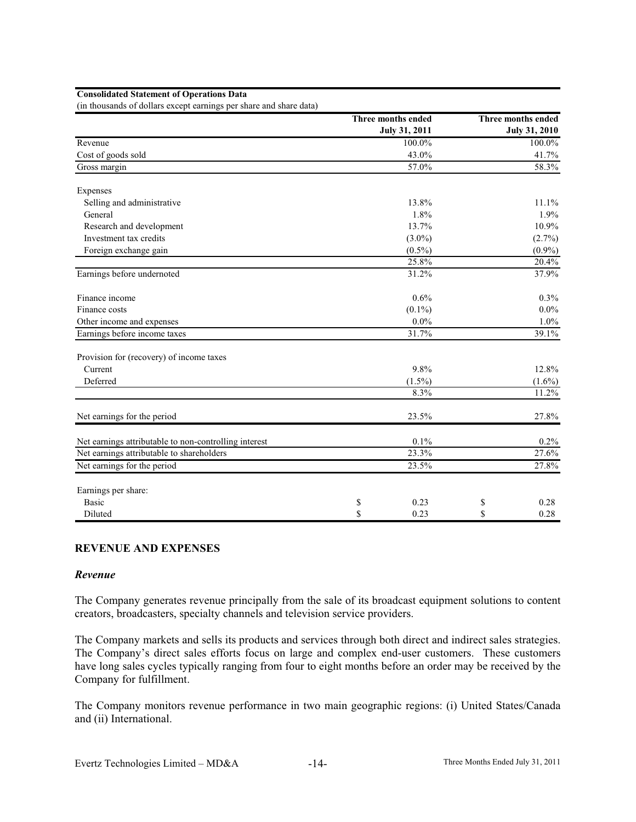|                                                       | Three months ended |                      |               | Three months ended   |
|-------------------------------------------------------|--------------------|----------------------|---------------|----------------------|
|                                                       |                    | <b>July 31, 2011</b> |               | <b>July 31, 2010</b> |
| Revenue                                               |                    | 100.0%               |               | $100.0\%$            |
| Cost of goods sold                                    |                    | 43.0%                |               | 41.7%                |
| Gross margin                                          |                    | 57.0%                |               | 58.3%                |
| Expenses                                              |                    |                      |               |                      |
| Selling and administrative                            |                    | 13.8%                |               | $11.1\%$             |
| General                                               |                    | 1.8%                 |               | 1.9%                 |
| Research and development                              |                    | 13.7%                |               | 10.9%                |
| Investment tax credits                                |                    | $(3.0\%)$            |               | $(2.7\%)$            |
| Foreign exchange gain                                 |                    | $(0.5\%)$            |               | $(0.9\%)$            |
|                                                       |                    | 25.8%                |               | 20.4%                |
| Earnings before undernoted                            |                    | 31.2%                |               | 37.9%                |
| Finance income                                        |                    | 0.6%                 |               | $0.3\%$              |
| Finance costs                                         |                    | $(0.1\%)$            |               | $0.0\%$              |
| Other income and expenses                             |                    | $0.0\%$              |               | 1.0%                 |
| Earnings before income taxes                          |                    | 31.7%                |               | 39.1%                |
| Provision for (recovery) of income taxes              |                    |                      |               |                      |
| Current                                               |                    | 9.8%                 |               | 12.8%                |
| Deferred                                              |                    | $(1.5\%)$            |               | $(1.6\%)$            |
|                                                       |                    | 8.3%                 |               | 11.2%                |
| Net earnings for the period                           |                    | 23.5%                |               | 27.8%                |
| Net earnings attributable to non-controlling interest |                    | 0.1%                 |               | $0.2\%$              |
| Net earnings attributable to shareholders             |                    | 23.3%                |               | 27.6%                |
| Net earnings for the period                           |                    | 23.5%                |               | 27.8%                |
| Earnings per share:                                   |                    |                      |               |                      |
| <b>Basic</b>                                          | \$                 | 0.23                 | \$            | 0.28                 |
| Diluted                                               | \$                 | 0.23                 | <sup>\$</sup> | 0.28                 |

# **Consolidated Statement of Operations Data**

(in thousands of dollars except earnings per share and share data)

## **REVENUE AND EXPENSES**

## *Revenue*

The Company generates revenue principally from the sale of its broadcast equipment solutions to content creators, broadcasters, specialty channels and television service providers.

The Company markets and sells its products and services through both direct and indirect sales strategies. The Company's direct sales efforts focus on large and complex end-user customers. These customers have long sales cycles typically ranging from four to eight months before an order may be received by the Company for fulfillment.

The Company monitors revenue performance in two main geographic regions: (i) United States/Canada and (ii) International.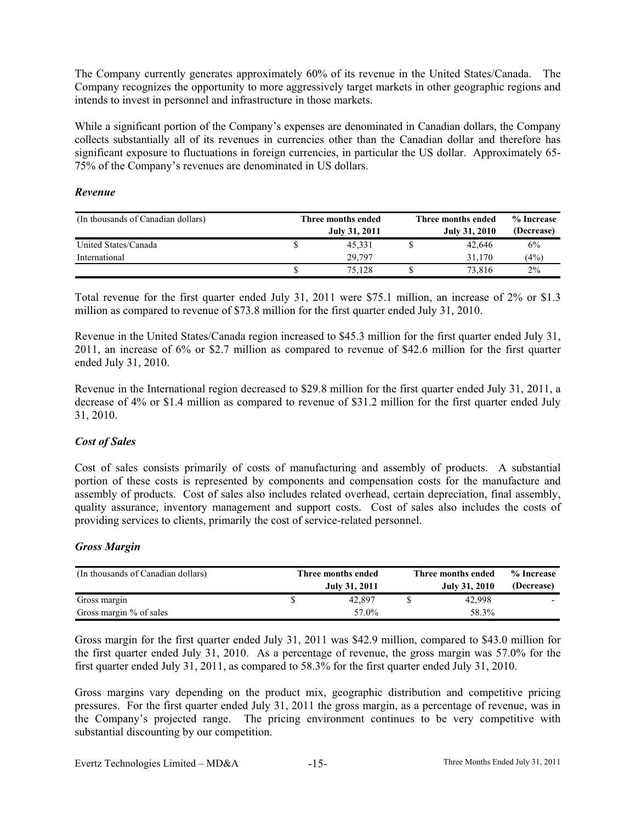The Company currently generates approximately 60% of its revenue in the United States/Canada. The Company recognizes the opportunity to more aggressively target markets in other geographic regions and intends to invest in personnel and infrastructure in those markets.

While a significant portion of the Company's expenses are denominated in Canadian dollars, the Company collects substantially all of its revenues in currencies other than the Canadian dollar and therefore has significant exposure to fluctuations in foreign currencies, in particular the US dollar. Approximately 65- 75% of the Company's revenues are denominated in US dollars.

| (In thousands of Canadian dollars) | Three months ended<br>July 31, 2011 | Three months ended<br><b>July 31, 2010</b> | % Increase<br>(Decrease) |
|------------------------------------|-------------------------------------|--------------------------------------------|--------------------------|
| United States/Canada               | 45.331                              | 42,646                                     | $6\%$                    |
| International                      | 29.797                              | 31.170                                     | (4%)                     |
|                                    | 75.128                              | 73.816                                     | $2\%$                    |

## *Revenue*

Total revenue for the first quarter ended July 31, 2011 were \$75.1 million, an increase of 2% or \$1.3 million as compared to revenue of \$73.8 million for the first quarter ended July 31, 2010.

Revenue in the United States/Canada region increased to \$45.3 million for the first quarter ended July 31, 2011, an increase of 6% or \$2.7 million as compared to revenue of \$42.6 million for the first quarter ended July 31, 2010.

Revenue in the International region decreased to \$29.8 million for the first quarter ended July 31, 2011, a decrease of 4% or \$1.4 million as compared to revenue of \$31.2 million for the first quarter ended July 31, 2010.

## *Cost of Sales*

Cost of sales consists primarily of costs of manufacturing and assembly of products. A substantial portion of these costs is represented by components and compensation costs for the manufacture and assembly of products. Cost of sales also includes related overhead, certain depreciation, final assembly, quality assurance, inventory management and support costs. Cost of sales also includes the costs of providing services to clients, primarily the cost of service-related personnel.

## *Gross Margin*

| (In thousands of Canadian dollars) | Three months ended<br>July 31, 2011 | Three months ended<br>July 31, 2010 | % Increase<br>(Decrease) |
|------------------------------------|-------------------------------------|-------------------------------------|--------------------------|
| Gross margin                       | 42.897                              | 42,998                              | $\overline{\phantom{0}}$ |
| Gross margin % of sales            | 57.0%                               | 58.3%                               |                          |

Gross margin for the first quarter ended July 31, 2011 was \$42.9 million, compared to \$43.0 million for the first quarter ended July 31, 2010. As a percentage of revenue, the gross margin was 57.0% for the first quarter ended July 31, 2011, as compared to 58.3% for the first quarter ended July 31, 2010.

Gross margins vary depending on the product mix, geographic distribution and competitive pricing pressures. For the first quarter ended July 31, 2011 the gross margin, as a percentage of revenue, was in the Company's projected range. The pricing environment continues to be very competitive with substantial discounting by our competition.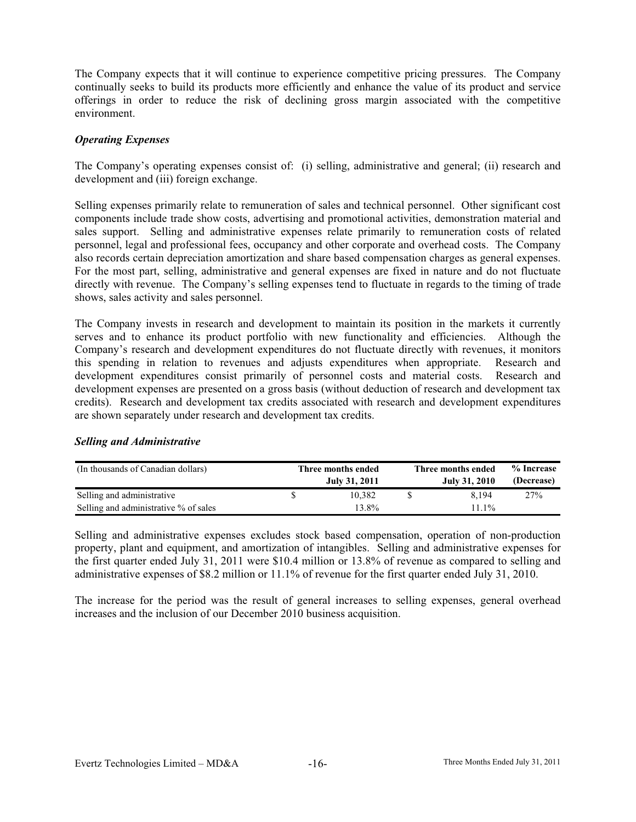The Company expects that it will continue to experience competitive pricing pressures. The Company continually seeks to build its products more efficiently and enhance the value of its product and service offerings in order to reduce the risk of declining gross margin associated with the competitive environment.

## *Operating Expenses*

The Company's operating expenses consist of: (i) selling, administrative and general; (ii) research and development and (iii) foreign exchange.

Selling expenses primarily relate to remuneration of sales and technical personnel. Other significant cost components include trade show costs, advertising and promotional activities, demonstration material and sales support. Selling and administrative expenses relate primarily to remuneration costs of related personnel, legal and professional fees, occupancy and other corporate and overhead costs. The Company also records certain depreciation amortization and share based compensation charges as general expenses. For the most part, selling, administrative and general expenses are fixed in nature and do not fluctuate directly with revenue. The Company's selling expenses tend to fluctuate in regards to the timing of trade shows, sales activity and sales personnel.

The Company invests in research and development to maintain its position in the markets it currently serves and to enhance its product portfolio with new functionality and efficiencies. Although the Company's research and development expenditures do not fluctuate directly with revenues, it monitors this spending in relation to revenues and adjusts expenditures when appropriate. Research and development expenditures consist primarily of personnel costs and material costs. Research and development expenses are presented on a gross basis (without deduction of research and development tax credits). Research and development tax credits associated with research and development expenditures are shown separately under research and development tax credits.

## *Selling and Administrative*

| (In thousands of Canadian dollars)    | Three months ended | Three months ended | % Increase    |            |
|---------------------------------------|--------------------|--------------------|---------------|------------|
|                                       | July 31, 2011      |                    | July 31, 2010 | (Decrease) |
| Selling and administrative            | 10.382             |                    | 8.194         | 27%        |
| Selling and administrative % of sales | 13.8%              |                    | 11.1%         |            |

Selling and administrative expenses excludes stock based compensation, operation of non-production property, plant and equipment, and amortization of intangibles. Selling and administrative expenses for the first quarter ended July 31, 2011 were \$10.4 million or 13.8% of revenue as compared to selling and administrative expenses of \$8.2 million or 11.1% of revenue for the first quarter ended July 31, 2010.

The increase for the period was the result of general increases to selling expenses, general overhead increases and the inclusion of our December 2010 business acquisition.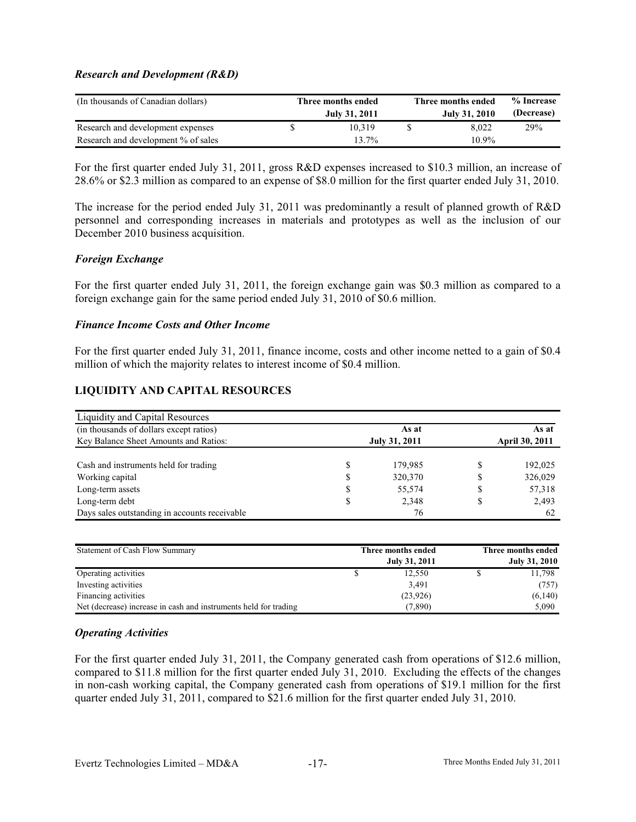## *Research and Development (R&D)*

| (In thousands of Canadian dollars)  | Three months ended<br><b>July 31, 2011</b> | Three months ended<br><b>July 31, 2010</b> | % Increase<br>(Decrease) |
|-------------------------------------|--------------------------------------------|--------------------------------------------|--------------------------|
| Research and development expenses   | 10.319                                     | 8.022                                      | 29%                      |
| Research and development % of sales | $13.7\%$                                   | 10.9%                                      |                          |

For the first quarter ended July 31, 2011, gross R&D expenses increased to \$10.3 million, an increase of 28.6% or \$2.3 million as compared to an expense of \$8.0 million for the first quarter ended July 31, 2010.

The increase for the period ended July 31, 2011 was predominantly a result of planned growth of R&D personnel and corresponding increases in materials and prototypes as well as the inclusion of our December 2010 business acquisition.

## *Foreign Exchange*

For the first quarter ended July 31, 2011, the foreign exchange gain was \$0.3 million as compared to a foreign exchange gain for the same period ended July 31, 2010 of \$0.6 million.

## *Finance Income Costs and Other Income*

For the first quarter ended July 31, 2011, finance income, costs and other income netted to a gain of \$0.4 million of which the majority relates to interest income of \$0.4 million.

## **LIQUIDITY AND CAPITAL RESOURCES**

| Liquidity and Capital Resources               |    |                      |                       |         |  |  |
|-----------------------------------------------|----|----------------------|-----------------------|---------|--|--|
| (in thousands of dollars except ratios)       |    | As at                |                       | As at   |  |  |
| Key Balance Sheet Amounts and Ratios:         |    | <b>July 31, 2011</b> | <b>April 30, 2011</b> |         |  |  |
|                                               |    |                      |                       |         |  |  |
| Cash and instruments held for trading         | \$ | 179,985              | S                     | 192,025 |  |  |
| Working capital                               | \$ | 320,370              | \$                    | 326,029 |  |  |
| Long-term assets                              | \$ | 55,574               | S                     | 57,318  |  |  |
| Long-term debt                                | S  | 2,348                | \$                    | 2,493   |  |  |
| Days sales outstanding in accounts receivable |    | 76                   |                       | 62      |  |  |

| Statement of Cash Flow Summary                                   | Three months ended | Three months ended |
|------------------------------------------------------------------|--------------------|--------------------|
|                                                                  | July 31, 2011      | July 31, 2010      |
| Operating activities                                             | 12.550             | 11,798             |
| Investing activities                                             | 3,491              | (757)              |
| Financing activities                                             | (23,926)           | (6,140)            |
| Net (decrease) increase in cash and instruments held for trading | (7,890)            | 5,090              |

## *Operating Activities*

For the first quarter ended July 31, 2011, the Company generated cash from operations of \$12.6 million, compared to \$11.8 million for the first quarter ended July 31, 2010. Excluding the effects of the changes in non-cash working capital, the Company generated cash from operations of \$19.1 million for the first quarter ended July 31, 2011, compared to \$21.6 million for the first quarter ended July 31, 2010.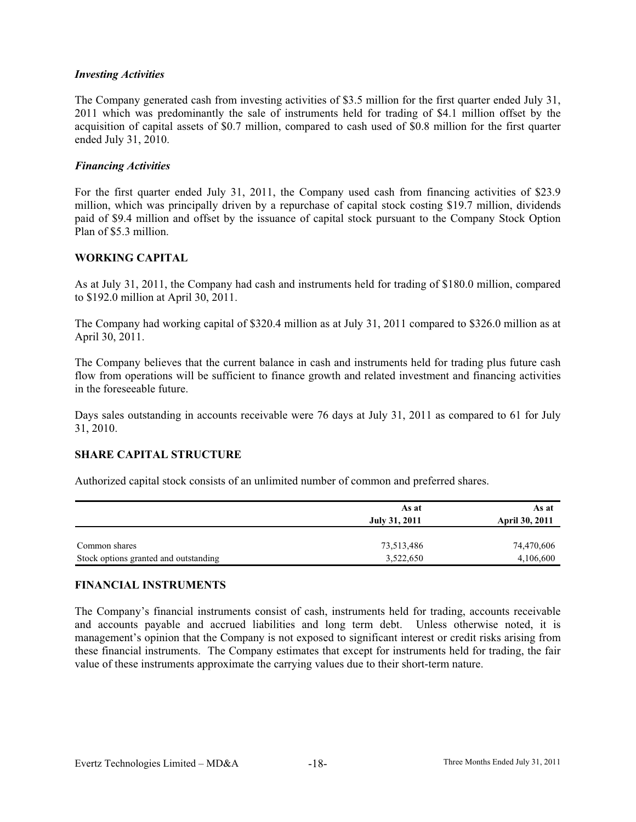## *Investing Activities*

The Company generated cash from investing activities of \$3.5 million for the first quarter ended July 31, 2011 which was predominantly the sale of instruments held for trading of \$4.1 million offset by the acquisition of capital assets of \$0.7 million, compared to cash used of \$0.8 million for the first quarter ended July 31, 2010.

## *Financing Activities*

For the first quarter ended July 31, 2011, the Company used cash from financing activities of \$23.9 million, which was principally driven by a repurchase of capital stock costing \$19.7 million, dividends paid of \$9.4 million and offset by the issuance of capital stock pursuant to the Company Stock Option Plan of \$5.3 million.

## **WORKING CAPITAL**

As at July 31, 2011, the Company had cash and instruments held for trading of \$180.0 million, compared to \$192.0 million at April 30, 2011.

The Company had working capital of \$320.4 million as at July 31, 2011 compared to \$326.0 million as at April 30, 2011.

The Company believes that the current balance in cash and instruments held for trading plus future cash flow from operations will be sufficient to finance growth and related investment and financing activities in the foreseeable future.

Days sales outstanding in accounts receivable were 76 days at July 31, 2011 as compared to 61 for July 31, 2010.

## **SHARE CAPITAL STRUCTURE**

Authorized capital stock consists of an unlimited number of common and preferred shares.

|                                       | As at<br><b>July 31, 2011</b> | As at<br><b>April 30, 2011</b> |
|---------------------------------------|-------------------------------|--------------------------------|
| Common shares                         | 73,513,486                    | 74,470,606                     |
| Stock options granted and outstanding | 3,522,650                     | 4,106,600                      |

## **FINANCIAL INSTRUMENTS**

The Company's financial instruments consist of cash, instruments held for trading, accounts receivable and accounts payable and accrued liabilities and long term debt. Unless otherwise noted, it is management's opinion that the Company is not exposed to significant interest or credit risks arising from these financial instruments. The Company estimates that except for instruments held for trading, the fair value of these instruments approximate the carrying values due to their short-term nature.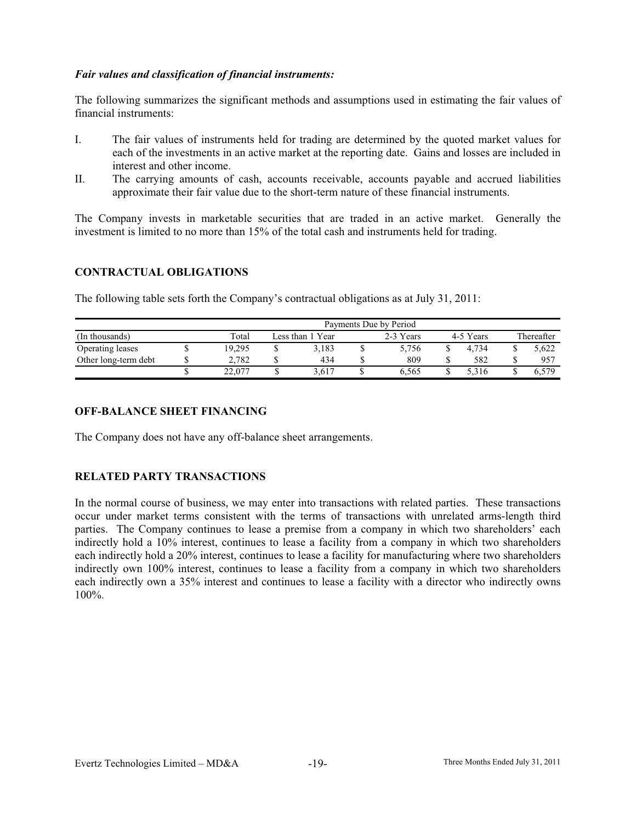## *Fair values and classification of financial instruments:*

The following summarizes the significant methods and assumptions used in estimating the fair values of financial instruments:

- I. The fair values of instruments held for trading are determined by the quoted market values for each of the investments in an active market at the reporting date. Gains and losses are included in interest and other income.
- II. The carrying amounts of cash, accounts receivable, accounts payable and accrued liabilities approximate their fair value due to the short-term nature of these financial instruments.

The Company invests in marketable securities that are traded in an active market. Generally the investment is limited to no more than 15% of the total cash and instruments held for trading.

## **ONTRACTUAL OBLIGATIONS C**

The following table sets forth the Company's contractual obligations as at July 31, 2011:

|                      | Payments Due by Period |  |                  |    |           |  |           |            |       |  |  |  |  |
|----------------------|------------------------|--|------------------|----|-----------|--|-----------|------------|-------|--|--|--|--|
| (In thousands)       | Total                  |  | Less than 1 Year |    | 2-3 Years |  | 4-5 Years | Thereafter |       |  |  |  |  |
| Operating leases     | 19.295                 |  | 3.183            | \$ | 5.756     |  | 4.734     |            | 5.622 |  |  |  |  |
| Other long-term debt | 2.782                  |  | 434              | S  | 809       |  | 582       |            | 957   |  |  |  |  |
|                      | 22,077                 |  | 3.617            |    | 6.565     |  | 5.316     |            | 6.579 |  |  |  |  |

## **OFF-BALANCE SHEET FINANCING**

The Company does not have any off-balance sheet arrangements.

## **ELATED PARTY TRANSACTIONS R**

In the normal course of business, we may enter into transactions with related parties. These transactions occur under market terms consistent with the terms of transactions with unrelated arms-length third parties. The Company continues to lease a premise from a company in which two shareholders' each indirectly hold a 10% interest, continues to lease a facility from a company in which two shareholders each indirectly hold a 20% interest, continues to lease a facility for manufacturing where two shareholders indirectly own 100% interest, continues to lease a facility from a company in which two shareholders each indirectly own a 35% interest and continues to lease a facility with a director who indirectly owns 100%.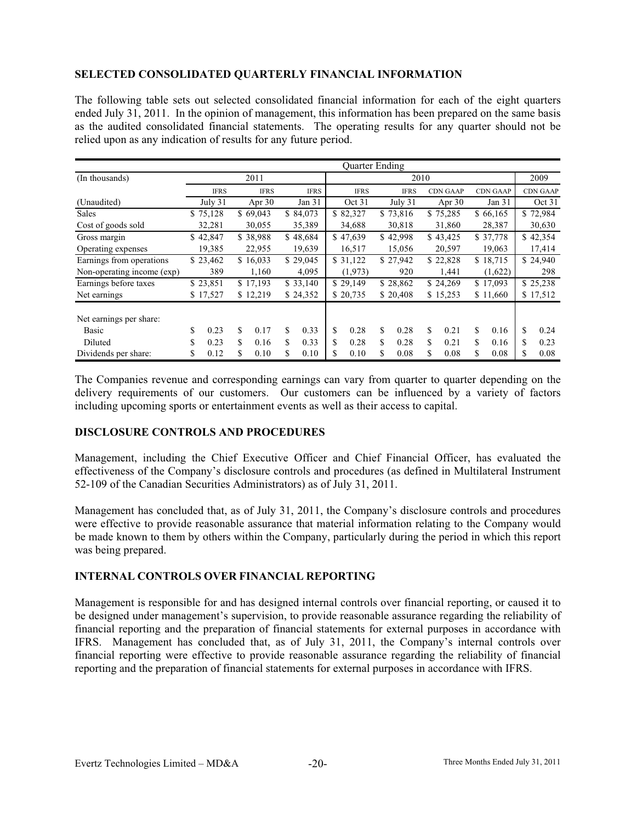## **SELECTED CONSOLIDATED QUARTERLY FINANCIAL INFORMATION**

The following table sets out selected consolidated financial information for each of the eight quarters ended July 31, 2011. In the opinion of management, this information has been prepared on the same basis as the audited consolidated financial statements. The operating results for any quarter should not be relied upon as any indication of results for any future period.

|                            |    |             |    |                  |          |             | <b>Ouarter Ending</b> |          |                  |                 |          |          |                 |          |                 |
|----------------------------|----|-------------|----|------------------|----------|-------------|-----------------------|----------|------------------|-----------------|----------|----------|-----------------|----------|-----------------|
| (In thousands)             |    |             |    | 2011             |          |             | 2010                  |          |                  |                 |          |          |                 |          | 2009            |
|                            |    | <b>IFRS</b> |    | <b>IFRS</b>      |          | <b>IFRS</b> | <b>IFRS</b>           |          | <b>IFRS</b>      | <b>CDN GAAP</b> |          |          | <b>CDN GAAP</b> |          | <b>CDN GAAP</b> |
| (Unaudited)                |    | July 31     |    | Apr $30$         |          | Jan 31      | Oct 31                |          | July 31          |                 | Apr $30$ |          | Jan 31          |          | Oct 31          |
| <b>Sales</b>               |    | \$75,128    |    | \$69,043         |          | \$84,073    | \$82,327              |          | \$73,816         |                 | \$75,285 |          | \$66,165        |          | \$72,984        |
| Cost of goods sold         |    | 32,281      |    | 30,055           |          | 35,389      | 34,688                |          | 30,818           |                 | 31,860   |          | 28,387          |          | 30,630          |
| Gross margin               |    | \$42,847    |    | \$38,988         |          | \$48,684    | \$47,639              |          | \$42,998         |                 | \$43,425 |          | \$37,778        |          | \$42,354        |
| Operating expenses         |    | 19,385      |    | 22,955<br>19,639 |          |             | 16,517                |          | 15,056<br>20,597 |                 |          | 19,063   |                 |          | 17,414          |
| Earnings from operations   |    | \$23,462    |    | \$16,033         | \$29,045 |             | \$31,122              | \$27,942 |                  | \$22,828        |          | \$18,715 |                 | \$24,940 |                 |
| Non-operating income (exp) |    | 389         |    | 1,160            |          | 4,095       | (1,973)               |          | 920              | 1,441           |          | (1,622)  |                 | 298      |                 |
| Earnings before taxes      |    | \$23,851    |    | \$17,193         |          | \$33,140    | \$29,149              | \$28,862 |                  |                 | \$24,269 | \$17,093 |                 | \$25,238 |                 |
| Net earnings               |    | \$17,527    |    | \$12,219         |          | \$24,352    | \$20,735              |          | \$20,408         |                 | \$15,253 |          | \$11,660        |          | \$17,512        |
| Net earnings per share:    |    |             |    |                  |          |             |                       |          |                  |                 |          |          |                 |          |                 |
| Basic                      | \$ | 0.23        | \$ | 0.17             | \$       | 0.33        | \$<br>0.28            | \$       | 0.28             | \$              | 0.21     | \$       | 0.16            | S        | 0.24            |
| Diluted                    | \$ | 0.23        | \$ | 0.16             | \$       | 0.33        | \$<br>0.28            | \$       | 0.28             | \$              | 0.21     | \$       | 0.16            |          | 0.23            |
| Dividends per share:       | S  | 0.12        | S  | 0.10             | \$       | 0.10        | \$<br>0.10            | S        | 0.08             | \$              | 0.08     | S.       | 0.08            | S        | 0.08            |

The Companies revenue and corresponding earnings can vary from quarter to quarter depending on the delivery requirements of our customers. Our customers can be influenced by a variety of factors including upcoming sports or entertainment events as well as their access to capital.

## **DISCLOSURE CONTROLS AND PROCEDURES**

Management, including the Chief Executive Officer and Chief Financial Officer, has evaluated the effectiveness of the Company's disclosure controls and procedures (as defined in Multilateral Instrument 52-109 of the Canadian Securities Administrators) as of July 31, 2011.

Management has concluded that, as of July 31, 2011, the Company's disclosure controls and procedures were effective to provide reasonable assurance that material information relating to the Company would be made known to them by others within the Company, particularly during the period in which this report was being prepared.

## **INTERNAL CONTROLS OVER FINANCIAL REPORTING**

Management is responsible for and has designed internal controls over financial reporting, or caused it to be designed under management's supervision, to provide reasonable assurance regarding the reliability of financial reporting and the preparation of financial statements for external purposes in accordance with IFRS. Management has concluded that, as of July 31, 2011, the Company's internal controls over financial reporting were effective to provide reasonable assurance regarding the reliability of financial reporting and the preparation of financial statements for external purposes in accordance with IFRS.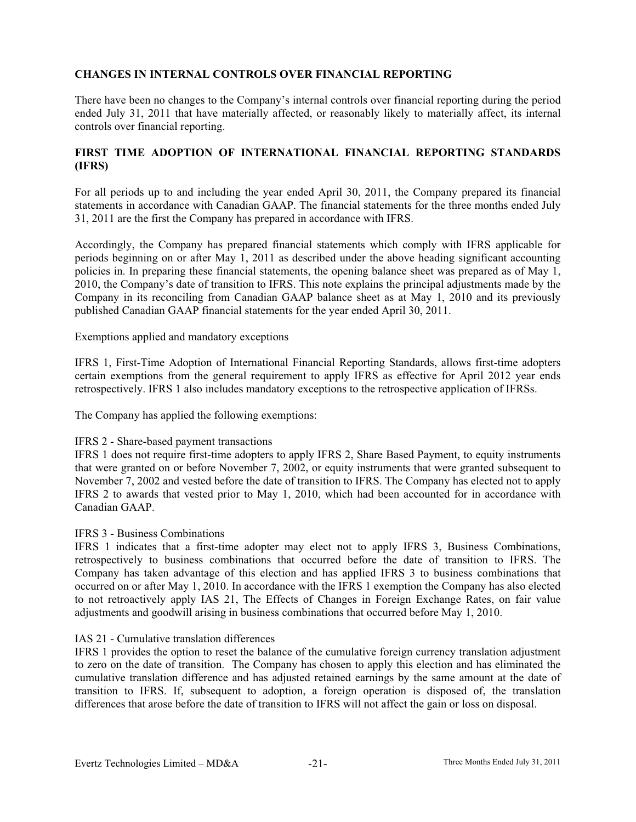## **CHANGES IN INTERNAL CONTROLS OVER FINANCIAL REPORTING**

There have been no changes to the Company's internal controls over financial reporting during the period ended July 31, 2011 that have materially affected, or reasonably likely to materially affect, its internal controls over financial reporting.

## **FIRST TIME ADOPTION OF INTERNATIONAL FINANCIAL REPORTING STANDARDS (IFRS)**

For all periods up to and including the year ended April 30, 2011, the Company prepared its financial statements in accordance with Canadian GAAP. The financial statements for the three months ended July 31, 2011 are the first the Company has prepared in accordance with IFRS.

Accordingly, the Company has prepared financial statements which comply with IFRS applicable for periods beginning on or after May 1, 2011 as described under the above heading significant accounting policies in. In preparing these financial statements, the opening balance sheet was prepared as of May 1, 2010, the Company's date of transition to IFRS. This note explains the principal adjustments made by the Company in its reconciling from Canadian GAAP balance sheet as at May 1, 2010 and its previously published Canadian GAAP financial statements for the year ended April 30, 2011.

Exemptions applied and mandatory exceptions

IFRS 1, First-Time Adoption of International Financial Reporting Standards, allows first-time adopters certain exemptions from the general requirement to apply IFRS as effective for April 2012 year ends retrospectively. IFRS 1 also includes mandatory exceptions to the retrospective application of IFRSs.

The Company has applied the following exemptions:

## IFRS 2 - Share-based payment transactions

IFRS 1 does not require first-time adopters to apply IFRS 2, Share Based Payment, to equity instruments that were granted on or before November 7, 2002, or equity instruments that were granted subsequent to November 7, 2002 and vested before the date of transition to IFRS. The Company has elected not to apply IFRS 2 to awards that vested prior to May 1, 2010, which had been accounted for in accordance with Canadian GAAP.

## IFRS 3 - Business Combinations

IFRS 1 indicates that a first-time adopter may elect not to apply IFRS 3, Business Combinations, retrospectively to business combinations that occurred before the date of transition to IFRS. The Company has taken advantage of this election and has applied IFRS 3 to business combinations that occurred on or after May 1, 2010. In accordance with the IFRS 1 exemption the Company has also elected to not retroactively apply IAS 21, The Effects of Changes in Foreign Exchange Rates, on fair value adjustments and goodwill arising in business combinations that occurred before May 1, 2010.

## IAS 21 - Cumulative translation differences

IFRS 1 provides the option to reset the balance of the cumulative foreign currency translation adjustment to zero on the date of transition. The Company has chosen to apply this election and has eliminated the cumulative translation difference and has adjusted retained earnings by the same amount at the date of transition to IFRS. If, subsequent to adoption, a foreign operation is disposed of, the translation differences that arose before the date of transition to IFRS will not affect the gain or loss on disposal.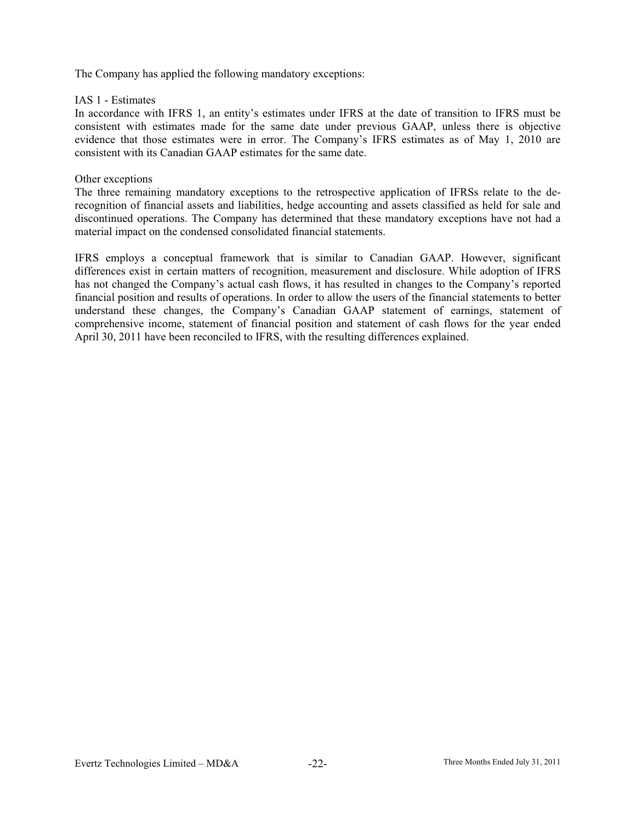The Company has applied the following mandatory exceptions:

## IAS 1 - Estimates

In accordance with IFRS 1, an entity's estimates under IFRS at the date of transition to IFRS must be consistent with estimates made for the same date under previous GAAP, unless there is objective evidence that those estimates were in error. The Company's IFRS estimates as of May 1, 2010 are consistent with its Canadian GAAP estimates for the same date.

## Other exceptions

The three remaining mandatory exceptions to the retrospective application of IFRSs relate to the derecognition of financial assets and liabilities, hedge accounting and assets classified as held for sale and discontinued operations. The Company has determined that these mandatory exceptions have not had a material impact on the condensed consolidated financial statements.

IFRS employs a conceptual framework that is similar to Canadian GAAP. However, significant differences exist in certain matters of recognition, measurement and disclosure. While adoption of IFRS has not changed the Company's actual cash flows, it has resulted in changes to the Company's reported financial position and results of operations. In order to allow the users of the financial statements to better understand these changes, the Company's Canadian GAAP statement of earnings, statement of comprehensive income, statement of financial position and statement of cash flows for the year ended April 30, 2011 have been reconciled to IFRS, with the resulting differences explained.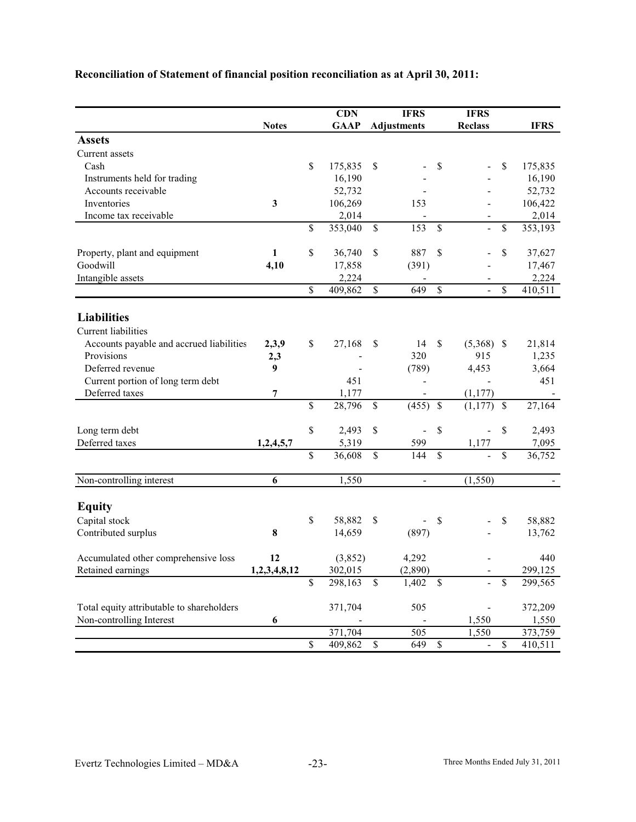| Reconciliation of Statement of financial position reconciliation as at April 30, 2011: |  |  |  |
|----------------------------------------------------------------------------------------|--|--|--|
|----------------------------------------------------------------------------------------|--|--|--|

|                                           |                  |             | CDN         |                           | <b>IFRS</b>                     | <b>IFRS</b>    |                           |             |
|-------------------------------------------|------------------|-------------|-------------|---------------------------|---------------------------------|----------------|---------------------------|-------------|
|                                           | <b>Notes</b>     |             | <b>GAAP</b> |                           | <b>Adjustments</b>              | <b>Reclass</b> |                           | <b>IFRS</b> |
| <b>Assets</b>                             |                  |             |             |                           |                                 |                |                           |             |
| Current assets                            |                  |             |             |                           |                                 |                |                           |             |
| Cash                                      |                  | $\mathbb S$ | 175,835     | \$                        | \$                              |                | \$                        | 175,835     |
| Instruments held for trading              |                  |             | 16,190      |                           |                                 |                |                           | 16,190      |
| Accounts receivable                       |                  |             | 52,732      |                           |                                 |                |                           | 52,732      |
| Inventories                               | 3                |             | 106,269     |                           | 153                             |                |                           | 106,422     |
| Income tax receivable                     |                  |             | 2,014       |                           |                                 |                |                           | 2,014       |
|                                           |                  | \$          | 353,040     | $\boldsymbol{\mathsf{S}}$ | 153<br>\$                       |                | \$                        | 353,193     |
| Property, plant and equipment             | 1                | \$          | 36,740      | \$                        | 887<br>\$                       |                | \$                        | 37,627      |
| Goodwill                                  | 4,10             |             | 17,858      |                           | (391)                           |                |                           | 17,467      |
| Intangible assets                         |                  |             | 2,224       |                           |                                 |                |                           | 2,224       |
|                                           |                  | \$          | 409,862     | $\mathbb S$               | 649<br>\$                       |                | \$                        | 410,511     |
| <b>Liabilities</b>                        |                  |             |             |                           |                                 |                |                           |             |
| <b>Current liabilities</b>                |                  |             |             |                           |                                 |                |                           |             |
| Accounts payable and accrued liabilities  | 2,3,9            | \$          | 27,168      | \$                        | 14<br>\$                        | $(5,368)$ \$   |                           | 21,814      |
| Provisions                                | 2,3              |             |             |                           | 320                             | 915            |                           | 1,235       |
| Deferred revenue                          | $\boldsymbol{9}$ |             |             |                           | (789)                           | 4,453          |                           | 3,664       |
| Current portion of long term debt         |                  |             | 451         |                           |                                 |                |                           | 451         |
| Deferred taxes                            | 7                |             | 1,177       |                           |                                 | (1, 177)       |                           |             |
|                                           |                  | \$          | 28,796      | \$                        | $(455)$ \$                      | (1,177)        | $\boldsymbol{\mathsf{S}}$ | 27,164      |
|                                           |                  | \$          |             |                           |                                 |                |                           |             |
| Long term debt                            |                  |             | 2,493       | \$                        | \$                              |                | \$                        | 2,493       |
| Deferred taxes                            | 1,2,4,5,7        | \$          | 5,319       | $\mathbb{S}$              | 599<br>\$<br>144                | 1,177          | \$                        | 7,095       |
|                                           |                  |             | 36,608      |                           |                                 |                |                           | 36,752      |
| Non-controlling interest                  | 6                |             | 1,550       |                           | $\blacksquare$                  | (1, 550)       |                           |             |
| <b>Equity</b>                             |                  |             |             |                           |                                 |                |                           |             |
| Capital stock                             |                  | $\mathbb S$ | 58,882      | \$                        | \$                              |                | \$                        | 58,882      |
| Contributed surplus                       | 8                |             | 14,659      |                           | (897)                           |                |                           | 13,762      |
|                                           |                  |             |             |                           |                                 |                |                           |             |
| Accumulated other comprehensive loss      | 12               |             | (3,852)     |                           | 4,292                           |                |                           | 440         |
| Retained earnings                         | 1,2,3,4,8,12     |             | 302,015     |                           | (2,890)                         |                |                           | 299,125     |
|                                           |                  | \$          | 298,163     | $\mathbb S$               | $\$$<br>1,402                   |                | \$                        | 299,565     |
| Total equity attributable to shareholders |                  |             | 371,704     |                           | 505                             |                |                           | 372,209     |
| Non-controlling Interest                  | 6                |             |             |                           |                                 | 1,550          |                           | 1,550       |
|                                           |                  |             | 371,704     |                           | 505                             | 1,550          |                           | 373,759     |
|                                           |                  | \$          | 409,862     | \$                        | $\overline{\mathcal{S}}$<br>649 | $\overline{a}$ | \$                        | 410,511     |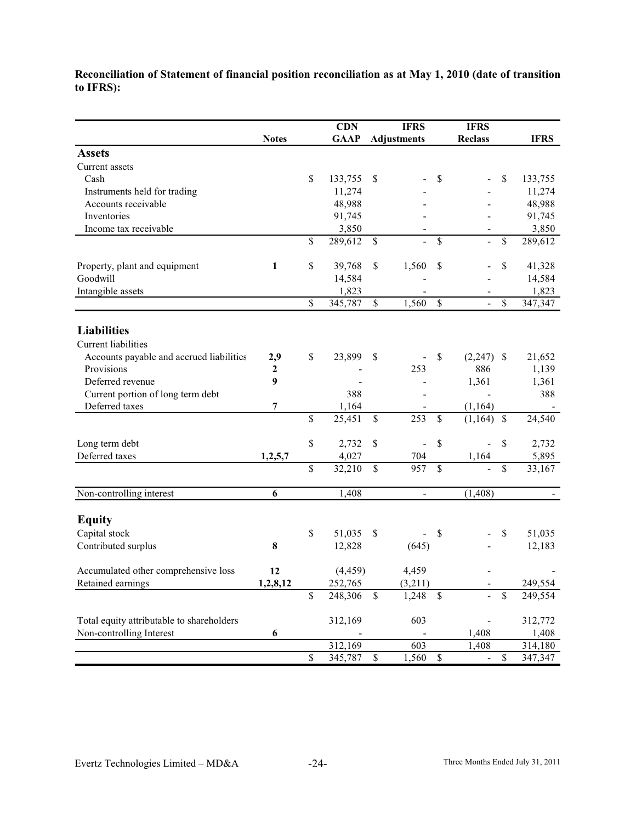**Reconciliation of Statement of financial position reconciliation as at May 1, 2010 (date of transition to IFRS):** 

|                                           |                  | <b>CDN</b>    |               | <b>IFRS</b>        |                          | <b>IFRS</b>              |              |             |
|-------------------------------------------|------------------|---------------|---------------|--------------------|--------------------------|--------------------------|--------------|-------------|
|                                           | <b>Notes</b>     | <b>GAAP</b>   |               | <b>Adjustments</b> |                          | <b>Reclass</b>           |              | <b>IFRS</b> |
| <b>Assets</b>                             |                  |               |               |                    |                          |                          |              |             |
| Current assets                            |                  |               |               |                    |                          |                          |              |             |
| Cash                                      |                  | \$<br>133,755 | \$            |                    | \$                       |                          | \$           | 133,755     |
| Instruments held for trading              |                  | 11,274        |               |                    |                          |                          |              | 11,274      |
| Accounts receivable                       |                  | 48,988        |               |                    |                          |                          |              | 48,988      |
| Inventories                               |                  | 91,745        |               |                    |                          |                          |              | 91,745      |
| Income tax receivable                     |                  | 3,850         |               |                    |                          |                          |              | 3,850       |
|                                           |                  | \$<br>289,612 | \$            |                    | \$                       |                          | \$           | 289,612     |
| Property, plant and equipment             | 1                | \$<br>39,768  | \$            | 1,560              | \$                       |                          | \$           | 41,328      |
| Goodwill                                  |                  | 14,584        |               |                    |                          |                          |              | 14,584      |
| Intangible assets                         |                  | 1,823         |               |                    |                          |                          |              | 1,823       |
|                                           |                  | \$<br>345,787 | $\mathbb S$   | 1,560              | $\overline{\mathcal{S}}$ | $\overline{a}$           | \$           | 347,347     |
| <b>Liabilities</b>                        |                  |               |               |                    |                          |                          |              |             |
| <b>Current liabilities</b>                |                  |               |               |                    |                          |                          |              |             |
| Accounts payable and accrued liabilities  | 2,9              | \$<br>23,899  | \$            |                    | \$                       | $(2,247)$ \$             |              | 21,652      |
| Provisions                                | $\boldsymbol{2}$ |               |               | 253                |                          | 886                      |              | 1,139       |
| Deferred revenue                          | 9                |               |               |                    |                          | 1,361                    |              | 1,361       |
| Current portion of long term debt         |                  | 388           |               |                    |                          |                          |              | 388         |
| Deferred taxes                            | 7                | 1,164         |               |                    |                          | (1, 164)                 |              |             |
|                                           |                  | \$<br>25,451  | \$            | $\overline{253}$   | $\mathbb{S}$             | (1,164)                  | $\mathbb{S}$ | 24,540      |
| Long term debt                            |                  | \$<br>2,732   | \$            |                    | \$                       |                          | \$           | 2,732       |
| Deferred taxes                            | 1,2,5,7          | 4,027         |               | 704                |                          | 1,164                    |              | 5,895       |
|                                           |                  | \$<br>32,210  | $\mathcal{S}$ | 957                | $\overline{\mathcal{S}}$ | $\overline{\phantom{0}}$ | $\mathbb{S}$ | 33,167      |
| Non-controlling interest                  | 6                | 1,408         |               | $\blacksquare$     |                          | (1, 408)                 |              |             |
|                                           |                  |               |               |                    |                          |                          |              |             |
| <b>Equity</b>                             |                  |               |               |                    |                          |                          |              |             |
| Capital stock                             |                  | \$<br>51,035  | \$            |                    | S                        |                          | \$           | 51,035      |
| Contributed surplus                       | 8                | 12,828        |               | (645)              |                          |                          |              | 12,183      |
| Accumulated other comprehensive loss      | 12               | (4, 459)      |               | 4,459              |                          |                          |              |             |
| Retained earnings                         | <u>1,2,8,12</u>  | 252,765       |               | (3,211)            |                          |                          |              | 249,554     |
|                                           |                  | \$<br>248,306 | $\mathbb S$   | 1,248              | $\mathbb S$              |                          | \$           | 249,554     |
| Total equity attributable to shareholders |                  | 312,169       |               | 603                |                          |                          |              | 312,772     |
| Non-controlling Interest                  | 6                |               |               |                    |                          | 1,408                    |              | 1,408       |
|                                           |                  | 312,169       |               | 603                |                          | 1,408                    |              | 314,180     |
|                                           |                  | \$<br>345,787 | \$            | 1,560              | $\mathbb{S}$             | $\overline{a}$           | \$           | 347,347     |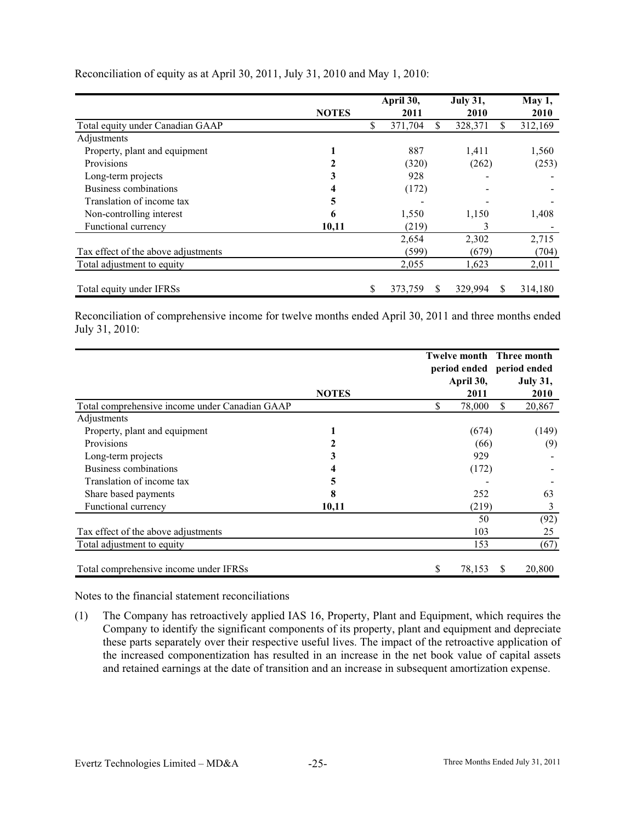|                                     | <b>NOTES</b> |    | April 30,<br>2011 |     | <b>July 31,</b><br>2010 |    | May 1,<br>2010 |
|-------------------------------------|--------------|----|-------------------|-----|-------------------------|----|----------------|
| Total equity under Canadian GAAP    |              | \$ | 371,704           | \$. | 328,371                 | \$ | 312,169        |
| Adjustments                         |              |    |                   |     |                         |    |                |
| Property, plant and equipment       |              |    | 887               |     | 1,411                   |    | 1,560          |
| Provisions                          |              |    | (320)             |     | (262)                   |    | (253)          |
| Long-term projects                  | 3            |    | 928               |     |                         |    |                |
| Business combinations               |              |    | (172)             |     |                         |    |                |
| Translation of income tax           | 5            |    |                   |     |                         |    |                |
| Non-controlling interest            | 6            |    | 1,550             |     | 1,150                   |    | 1,408          |
| Functional currency                 | 10,11        |    | (219)             |     | 3                       |    |                |
|                                     |              |    | 2,654             |     | 2,302                   |    | 2,715          |
| Tax effect of the above adjustments |              |    | (599)             |     | (679)                   |    | (704)          |
| Total adjustment to equity          |              |    | 2,055             |     | 1,623                   |    | 2,011          |
| Total equity under IFRSs            |              | S  | 373,759<br>S      |     | 329,994                 | S. | 314,180        |

Reconciliation of equity as at April 30, 2011, July 31, 2010 and May 1, 2010:

Reconciliation of comprehensive income for twelve months ended April 30, 2011 and three months ended July 31, 2010:

|                                                |              | <b>Twelve month Three month</b> |                 |  |  |
|------------------------------------------------|--------------|---------------------------------|-----------------|--|--|
|                                                |              | period ended period ended       |                 |  |  |
|                                                |              | April 30,                       | <b>July 31,</b> |  |  |
|                                                | <b>NOTES</b> | 2011                            | 2010            |  |  |
| Total comprehensive income under Canadian GAAP |              | \$<br>78,000                    | \$<br>20,867    |  |  |
| Adjustments                                    |              |                                 |                 |  |  |
| Property, plant and equipment                  |              | (674)                           | (149)           |  |  |
| Provisions                                     |              | (66)                            | (9)             |  |  |
| Long-term projects                             | 3            | 929                             |                 |  |  |
| Business combinations                          |              | (172)                           |                 |  |  |
| Translation of income tax                      | 5            |                                 |                 |  |  |
| Share based payments                           | 8            | 252                             | 63              |  |  |
| Functional currency                            | 10,11        | (219)                           | 3               |  |  |
|                                                |              | 50                              | (92)            |  |  |
| Tax effect of the above adjustments            |              | 103                             | 25              |  |  |
| Total adjustment to equity                     |              | 153                             | (67)            |  |  |
| Total comprehensive income under IFRSs         |              | \$<br>78,153                    | 20,800<br>S     |  |  |

Notes to the financial statement reconciliations

(1) The Company has retroactively applied IAS 16, Property, Plant and Equipment, which requires the Company to identify the significant components of its property, plant and equipment and depreciate these parts separately over their respective useful lives. The impact of the retroactive application of the increased componentization has resulted in an increase in the net book value of capital assets and retained earnings at the date of transition and an increase in subsequent amortization expense.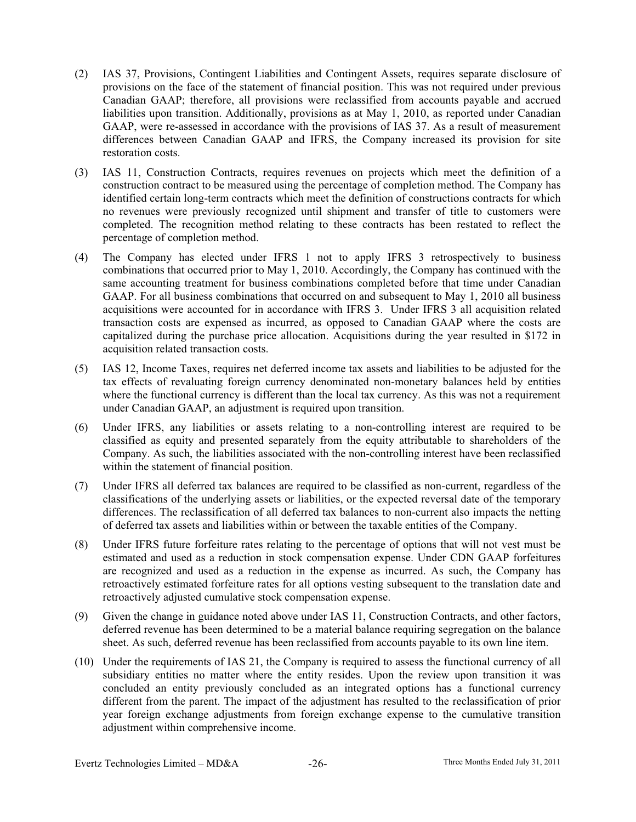- (2) IAS 37, Provisions, Contingent Liabilities and Contingent Assets, requires separate disclosure of provisions on the face of the statement of financial position. This was not required under previous Canadian GAAP; therefore, all provisions were reclassified from accounts payable and accrued liabilities upon transition. Additionally, provisions as at May 1, 2010, as reported under Canadian GAAP, were re-assessed in accordance with the provisions of IAS 37. As a result of measurement differences between Canadian GAAP and IFRS, the Company increased its provision for site restoration costs.
- (3) IAS 11, Construction Contracts, requires revenues on projects which meet the definition of a identified cer tain long-term contracts which meet the definition of constructions contracts for which no revenues were previously recognized until shipment and transfer of title to customers were completed. T he recognition method relating to these contracts has been restated to reflect the percentage of completion method. construction contract to be measured using the percentage of completion method. The Company has
- (4) The Compan y has elected under IFRS 1 not to apply IFRS 3 retrospectively to business combinations that occurred prior to May 1, 2010. Accordingly, the Company has continued with the GAAP. For a ll business combinations that occurred on and subsequent to May 1, 2010 all business acquisitions w ere accounted for in accordance with IFRS 3. Under IFRS 3 all acquisition related transaction co sts are expensed as incurred, as opposed to Canadian GAAP where the costs are capitalized du ring the purchase price allocation. Acquisitions during the year resulted in \$172 in acquisition re lated transaction costs. same accounting treatment for business combinations completed before that time under Canadian
- (5) IAS 12, Incom e Taxes, requires net deferred income tax assets and liabilities to be adjusted for the tax effects of revaluating foreign currency denominated non-monetary balances held by entities where the functional currency is different than the local tax currency. As this was not a requirement under Canadian GAAP, an adjustment is required upon transition.
- (6) Under IFRS, any liabilities or assets relating to a non-controlling interest are required to be classified as equity and presented separately from the equity attributable to shareholders of the Company. As such, the liabilities associated with the non-controlling interest have been reclassified within the statement of financial position.
- of deferred tax assets and liabilities within or between the taxable entities of the Company. (7) Under IFRS all deferred tax balances are required to be classified as non-current, regardless of the classifications of the underlying assets or liabilities, or the expected reversal date of the temporary differences. The reclassification of all deferred tax balances to non-current also impacts the netting
- retroactively estimated forfeiture rates for all options vesting subsequent to the translation date and (8) Under IFRS future forfeiture rates relating to the percentage of options that will not vest must be estimated and used as a reduction in stock compensation expense. Under CDN GAAP forfeitures are recognized and used as a reduction in the expense as incurred. As such, the Company has retroactively adjusted cumulative stock compensation expense.
- (9) Given the change in guidance noted above under IAS 11, Construction Contracts, and other factors, deferred revenue has been determined to be a material balance requiring segregation on the balance sheet. As such, deferred revenue has been reclassified from accounts payable to its own line item.
- different from the parent. The impact of the adjustment has resulted to the reclassification of prior (10) Under the requirements of IAS 21, the Company is required to assess the functional currency of all subsidiary entities no matter where the entity resides. Upon the review upon transition it was concluded an entity previously concluded as an integrated options has a functional currency year foreign exchange adjustments from foreign exchange expense to the cumulative transition adjustment within comprehensive income.